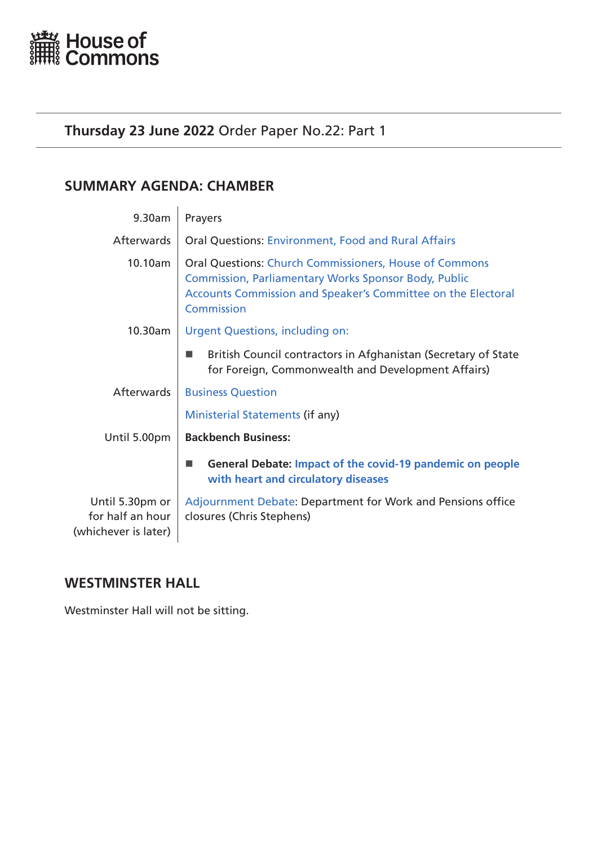<span id="page-0-0"></span>

# **Thursday 23 June 2022** Order Paper No.22: Part 1

# **SUMMARY AGENDA: CHAMBER**

| 9.30am                                                      | Prayers                                                                                                                                                                                                           |
|-------------------------------------------------------------|-------------------------------------------------------------------------------------------------------------------------------------------------------------------------------------------------------------------|
| Afterwards                                                  | <b>Oral Questions: Environment, Food and Rural Affairs</b>                                                                                                                                                        |
| 10.10am                                                     | <b>Oral Questions: Church Commissioners, House of Commons</b><br><b>Commission, Parliamentary Works Sponsor Body, Public</b><br>Accounts Commission and Speaker's Committee on the Electoral<br><b>Commission</b> |
| 10.30am                                                     | <b>Urgent Questions, including on:</b>                                                                                                                                                                            |
|                                                             | British Council contractors in Afghanistan (Secretary of State<br>for Foreign, Commonwealth and Development Affairs)                                                                                              |
| Afterwards                                                  | <b>Business Question</b>                                                                                                                                                                                          |
|                                                             | Ministerial Statements (if any)                                                                                                                                                                                   |
| Until 5.00pm                                                | <b>Backbench Business:</b>                                                                                                                                                                                        |
|                                                             | General Debate: Impact of the covid-19 pandemic on people<br>with heart and circulatory diseases                                                                                                                  |
| Until 5.30pm or<br>for half an hour<br>(whichever is later) | Adjournment Debate: Department for Work and Pensions office<br>closures (Chris Stephens)                                                                                                                          |

# **WESTMINSTER HALL**

Westminster Hall will not be sitting.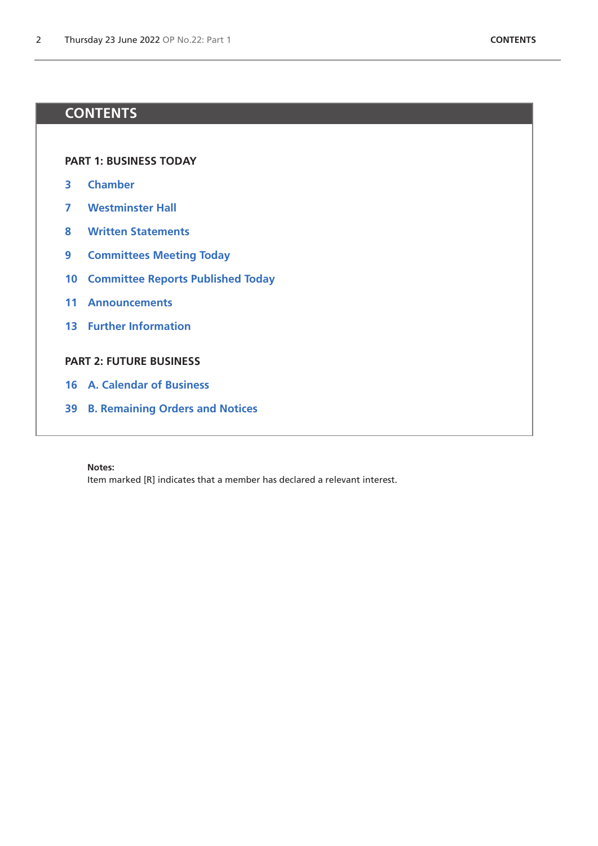# **CONTENTS**

**[PART 1: BUSINESS TODAY](#page-0-0)**

- **[Chamber](#page-2-1)**
- **[Westminster Hall](#page-6-0)**
- **[Written Statements](#page-7-0)**
- **[Committees Meeting Today](#page-8-0)**
- **[Committee Reports Published Today](#page-9-0)**
- **[Announcements](#page-10-0)**
- **[Further Information](#page-12-0)**

# **[PART 2: FUTURE BUSINESS](#page-14-0)**

- **[A. Calendar of Business](#page-15-0)**
- **[B. Remaining Orders and Notices](#page-38-0)**

### **Notes:**

Item marked [R] indicates that a member has declared a relevant interest.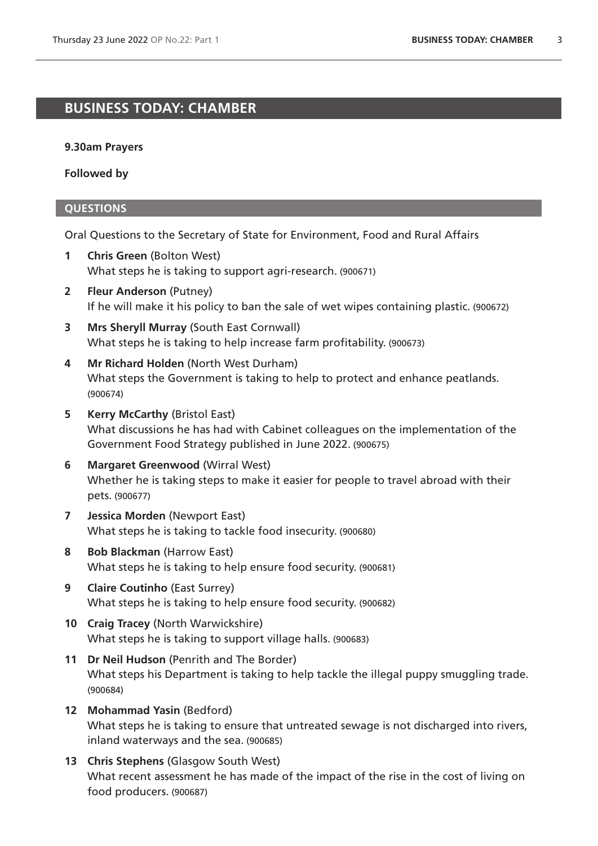# <span id="page-2-1"></span>**BUSINESS TODAY: CHAMBER**

### **9.30am Prayers**

**Followed by**

# <span id="page-2-0"></span>**QUESTIONS**

Oral Questions to the Secretary of State for Environment, Food and Rural Affairs

- **1 Chris Green** (Bolton West) What steps he is taking to support agri-research. (900671)
- **2 Fleur Anderson** (Putney) If he will make it his policy to ban the sale of wet wipes containing plastic. (900672)
- **3 Mrs Sheryll Murray** (South East Cornwall) What steps he is taking to help increase farm profitability. (900673)
- **4 Mr Richard Holden** (North West Durham) What steps the Government is taking to help to protect and enhance peatlands. (900674)
- **5 Kerry McCarthy** (Bristol East) What discussions he has had with Cabinet colleagues on the implementation of the Government Food Strategy published in June 2022. (900675)
- **6 Margaret Greenwood** (Wirral West) Whether he is taking steps to make it easier for people to travel abroad with their pets. (900677)
- **7 Jessica Morden** (Newport East) What steps he is taking to tackle food insecurity. (900680)
- **8 Bob Blackman** (Harrow East) What steps he is taking to help ensure food security. (900681)
- **9 Claire Coutinho** (East Surrey) What steps he is taking to help ensure food security. (900682)
- **10 Craig Tracey** (North Warwickshire) What steps he is taking to support village halls. (900683)
- **11 Dr Neil Hudson** (Penrith and The Border) What steps his Department is taking to help tackle the illegal puppy smuggling trade. (900684)
- **12 Mohammad Yasin** (Bedford) What steps he is taking to ensure that untreated sewage is not discharged into rivers, inland waterways and the sea. (900685)
- **13 Chris Stephens** (Glasgow South West) What recent assessment he has made of the impact of the rise in the cost of living on food producers. (900687)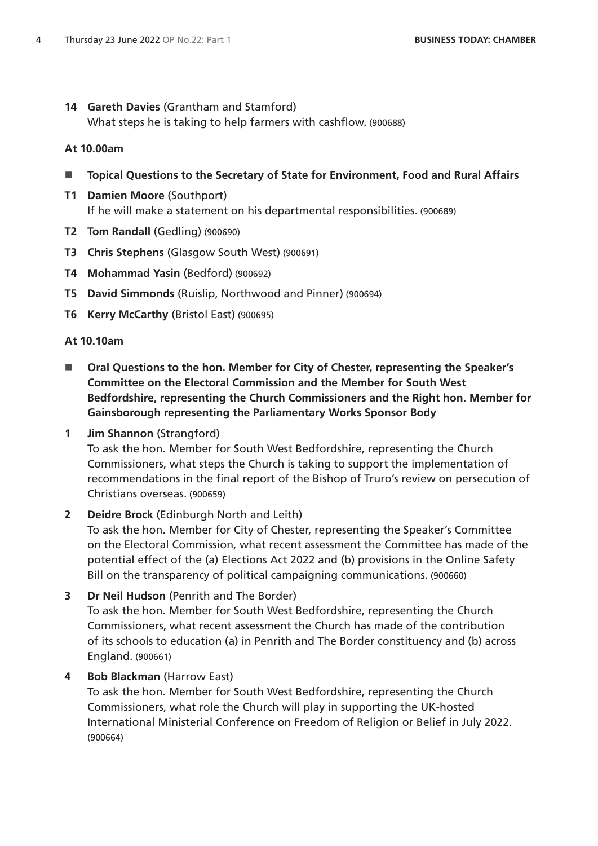**14 Gareth Davies** (Grantham and Stamford) What steps he is taking to help farmers with cashflow. (900688)

# **At 10.00am**

- **Topical Questions to the Secretary of State for Environment, Food and Rural Affairs**
- **T1 Damien Moore** (Southport) If he will make a statement on his departmental responsibilities. (900689)
- **T2 Tom Randall** (Gedling) (900690)
- **T3 Chris Stephens** (Glasgow South West) (900691)
- **T4 Mohammad Yasin** (Bedford) (900692)
- **T5 David Simmonds** (Ruislip, Northwood and Pinner) (900694)
- **T6 Kerry McCarthy** (Bristol East) (900695)

# **At 10.10am**

- <span id="page-3-0"></span>■ Oral Questions to the hon. Member for City of Chester, representing the Speaker's **Committee on the Electoral Commission and the Member for South West Bedfordshire, representing the Church Commissioners and the Right hon. Member for Gainsborough representing the Parliamentary Works Sponsor Body**
- **1 Jim Shannon** (Strangford)

To ask the hon. Member for South West Bedfordshire, representing the Church Commissioners, what steps the Church is taking to support the implementation of recommendations in the final report of the Bishop of Truro's review on persecution of Christians overseas. (900659)

# **2 Deidre Brock** (Edinburgh North and Leith)

To ask the hon. Member for City of Chester, representing the Speaker's Committee on the Electoral Commission, what recent assessment the Committee has made of the potential effect of the (a) Elections Act 2022 and (b) provisions in the Online Safety Bill on the transparency of political campaigning communications. (900660)

**3 Dr Neil Hudson** (Penrith and The Border) To ask the hon. Member for South West Bedfordshire, representing the Church Commissioners, what recent assessment the Church has made of the contribution of its schools to education (a) in Penrith and The Border constituency and (b) across England. (900661)

# **4 Bob Blackman** (Harrow East)

To ask the hon. Member for South West Bedfordshire, representing the Church Commissioners, what role the Church will play in supporting the UK-hosted International Ministerial Conference on Freedom of Religion or Belief in July 2022. (900664)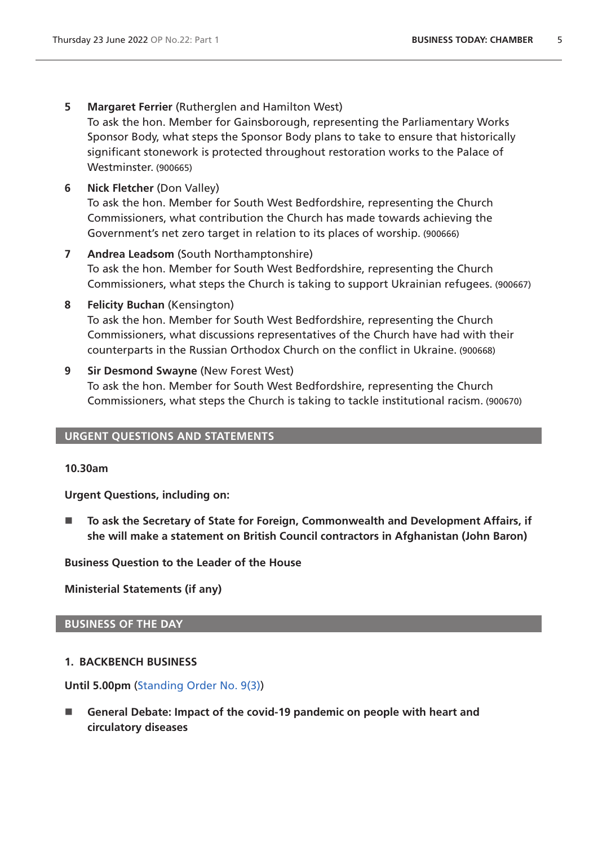**5 Margaret Ferrier** (Rutherglen and Hamilton West)

To ask the hon. Member for Gainsborough, representing the Parliamentary Works Sponsor Body, what steps the Sponsor Body plans to take to ensure that historically significant stonework is protected throughout restoration works to the Palace of Westminster. (900665)

- **6 Nick Fletcher** (Don Valley) To ask the hon. Member for South West Bedfordshire, representing the Church Commissioners, what contribution the Church has made towards achieving the Government's net zero target in relation to its places of worship. (900666)
- **7 Andrea Leadsom** (South Northamptonshire) To ask the hon. Member for South West Bedfordshire, representing the Church Commissioners, what steps the Church is taking to support Ukrainian refugees. (900667)
- **8 Felicity Buchan** (Kensington) To ask the hon. Member for South West Bedfordshire, representing the Church Commissioners, what discussions representatives of the Church have had with their counterparts in the Russian Orthodox Church on the conflict in Ukraine. (900668)
- **9 Sir Desmond Swayne** (New Forest West) To ask the hon. Member for South West Bedfordshire, representing the Church Commissioners, what steps the Church is taking to tackle institutional racism. (900670)

# **URGENT QUESTIONS AND STATEMENTS**

# **10.30am**

<span id="page-4-0"></span>**Urgent Questions, including on:**

■ To ask the Secretary of State for Foreign, Commonwealth and Development Affairs, if **she will make a statement on British Council contractors in Afghanistan (John Baron)**

<span id="page-4-1"></span>**Business Question to the Leader of the House**

<span id="page-4-2"></span>**Ministerial Statements (if any)**

# **BUSINESS OF THE DAY**

# **1. BACKBENCH BUSINESS**

**Until 5.00pm** [\(Standing Order No. 9\(3\)](https://publications.parliament.uk/pa/cm5802/cmstords/so_804_2021/so-orders.html#so-9_3))

<span id="page-4-3"></span>■ General Debate: Impact of the covid-19 pandemic on people with heart and **circulatory diseases**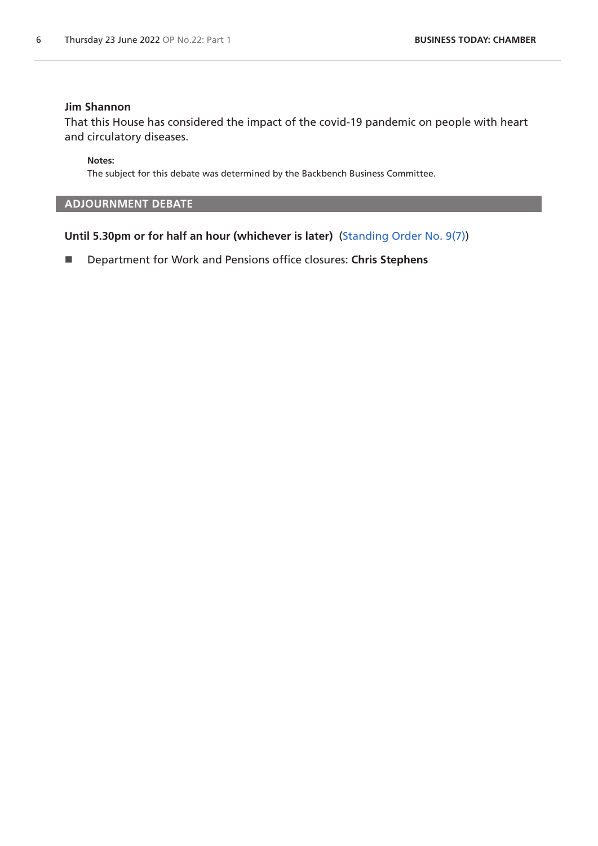# **Jim Shannon**

That this House has considered the impact of the covid-19 pandemic on people with heart and circulatory diseases.

**Notes:**

The subject for this debate was determined by the Backbench Business Committee.

# <span id="page-5-0"></span>**ADJOURNMENT DEBATE**

**Until 5.30pm or for half an hour (whichever is later)** [\(Standing Order No. 9\(7\)](https://publications.parliament.uk/pa/cm5802/cmstords/so_804_2021/so-orders.html#so-9_7))

Department for Work and Pensions office closures: **Chris Stephens**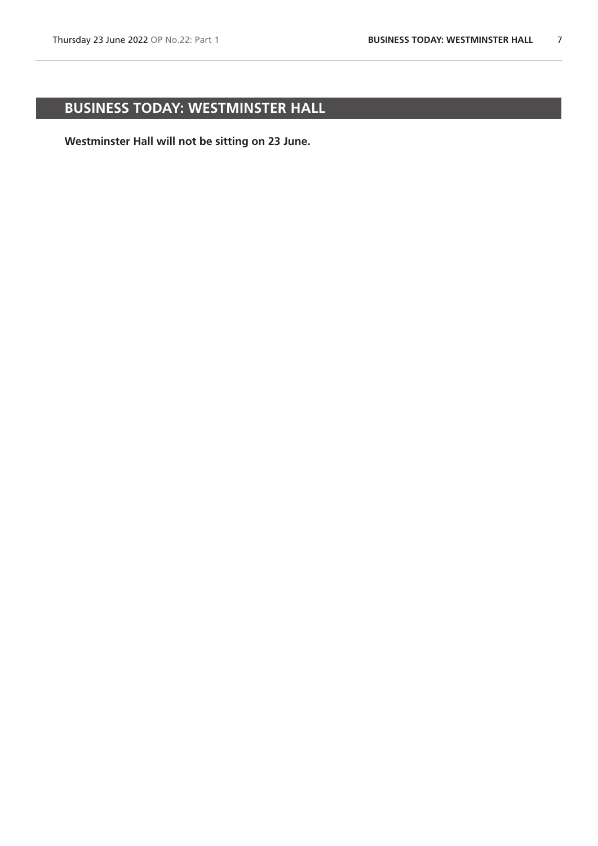# <span id="page-6-0"></span>**BUSINESS TODAY: WESTMINSTER HALL**

**Westminster Hall will not be sitting on 23 June.**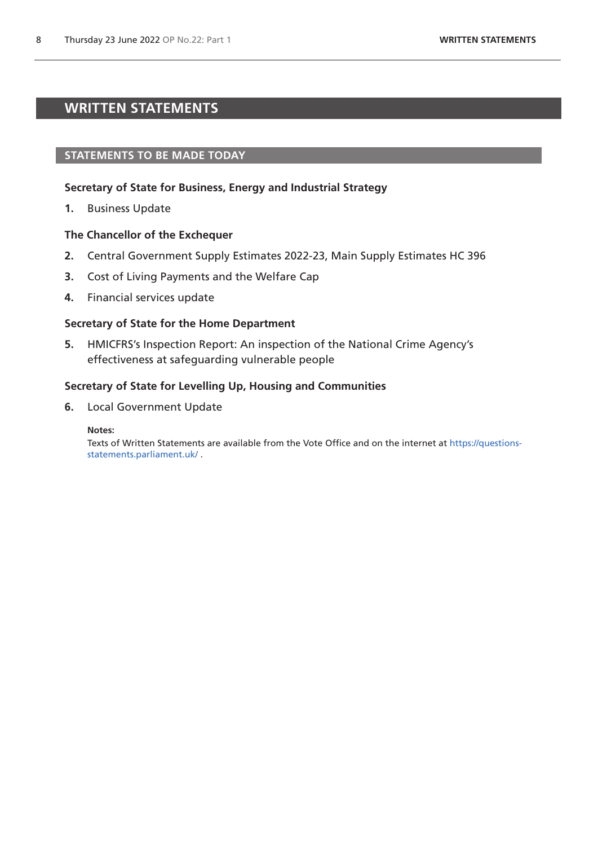# <span id="page-7-0"></span>**WRITTEN STATEMENTS**

# **STATEMENTS TO BE MADE TODAY**

# **Secretary of State for Business, Energy and Industrial Strategy**

**1.** Business Update

### **The Chancellor of the Exchequer**

- **2.** Central Government Supply Estimates 2022-23, Main Supply Estimates HC 396
- **3.** Cost of Living Payments and the Welfare Cap
- **4.** Financial services update

### **Secretary of State for the Home Department**

**5.** HMICFRS's Inspection Report: An inspection of the National Crime Agency's effectiveness at safeguarding vulnerable people

### **Secretary of State for Levelling Up, Housing and Communities**

**6.** Local Government Update

#### **Notes:**

Texts of Written Statements are available from the Vote Office and on the internet at [https://questions](https://questions-statements.parliament.uk/)[statements.parliament.uk/](https://questions-statements.parliament.uk/) .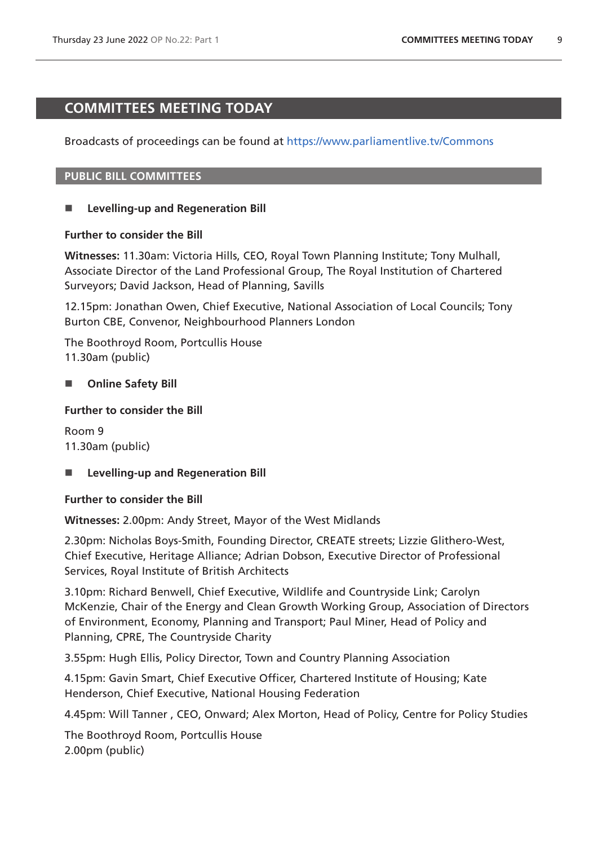# <span id="page-8-0"></span>**COMMITTEES MEETING TODAY**

Broadcasts of proceedings can be found at <https://www.parliamentlive.tv/Commons>

# **PUBLIC BILL COMMITTEES**

# **Levelling-up and Regeneration Bill**

# **Further to consider the Bill**

**Witnesses:** 11.30am: Victoria Hills, CEO, Royal Town Planning Institute; Tony Mulhall, Associate Director of the Land Professional Group, The Royal Institution of Chartered Surveyors; David Jackson, Head of Planning, Savills

12.15pm: Jonathan Owen, Chief Executive, National Association of Local Councils; Tony Burton CBE, Convenor, Neighbourhood Planners London

The Boothroyd Room, Portcullis House 11.30am (public)

# **No. 3** Online Safety Bill

# **Further to consider the Bill**

Room 9 11.30am (public)

# ■ Levelling-up and Regeneration Bill

# **Further to consider the Bill**

**Witnesses:** 2.00pm: Andy Street, Mayor of the West Midlands

2.30pm: Nicholas Boys-Smith, Founding Director, CREATE streets; Lizzie Glithero-West, Chief Executive, Heritage Alliance; Adrian Dobson, Executive Director of Professional Services, Royal Institute of British Architects

3.10pm: Richard Benwell, Chief Executive, Wildlife and Countryside Link; Carolyn McKenzie, Chair of the Energy and Clean Growth Working Group, Association of Directors of Environment, Economy, Planning and Transport; Paul Miner, Head of Policy and Planning, CPRE, The Countryside Charity

3.55pm: Hugh Ellis, Policy Director, Town and Country Planning Association

4.15pm: Gavin Smart, Chief Executive Officer, Chartered Institute of Housing; Kate Henderson, Chief Executive, National Housing Federation

4.45pm: Will Tanner , CEO, Onward; Alex Morton, Head of Policy, Centre for Policy Studies

The Boothroyd Room, Portcullis House 2.00pm (public)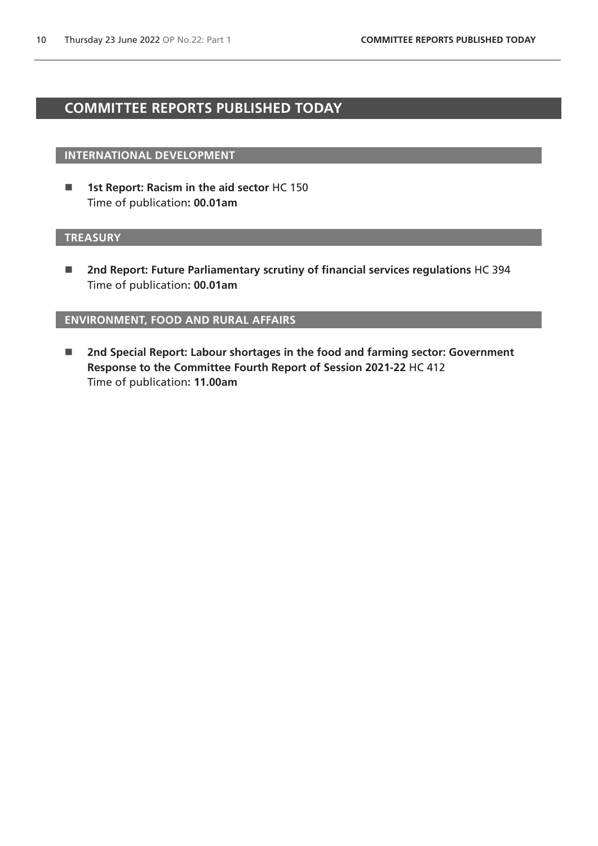# <span id="page-9-0"></span>**COMMITTEE REPORTS PUBLISHED TODAY**

# **INTERNATIONAL DEVELOPMENT**

■ 1st Report: Racism in the aid sector HC 150 Time of publication**: 00.01am**

# **TREASURY**

■ 2nd Report: Future Parliamentary scrutiny of financial services regulations HC 394 Time of publication**: 00.01am**

# **ENVIRONMENT, FOOD AND RURAL AFFAIRS**

■ 2nd Special Report: Labour shortages in the food and farming sector: Government **Response to the Committee Fourth Report of Session 2021-22** HC 412 Time of publication**: 11.00am**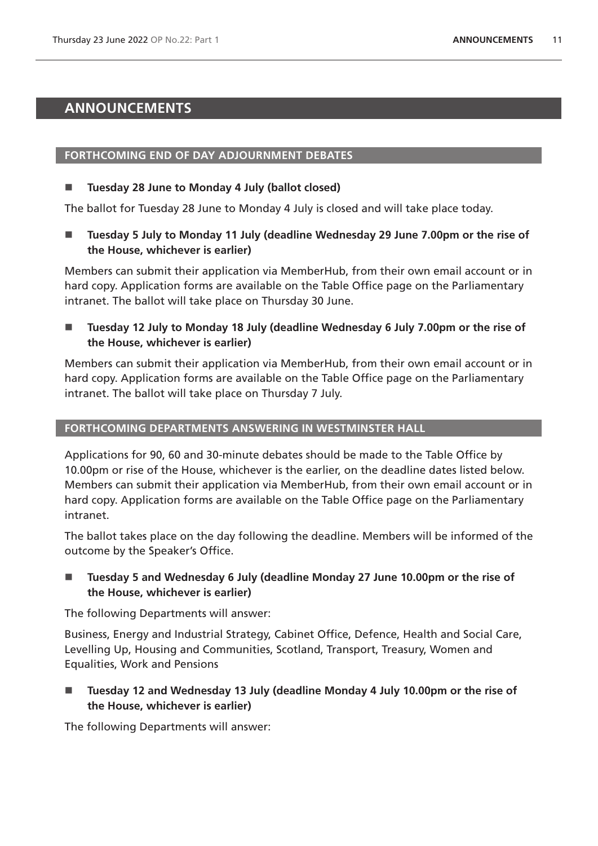# <span id="page-10-0"></span>**ANNOUNCEMENTS**

# **FORTHCOMING END OF DAY ADJOURNMENT DEBATES**

# **Tuesday 28 June to Monday 4 July (ballot closed)**

The ballot for Tuesday 28 June to Monday 4 July is closed and will take place today.

■ Tuesday 5 July to Monday 11 July (deadline Wednesday 29 June 7.00pm or the rise of **the House, whichever is earlier)**

Members can submit their application via MemberHub, from their own email account or in hard copy. Application forms are available on the Table Office page on the Parliamentary intranet. The ballot will take place on Thursday 30 June.

■ Tuesday 12 July to Monday 18 July (deadline Wednesday 6 July 7.00pm or the rise of **the House, whichever is earlier)**

Members can submit their application via MemberHub, from their own email account or in hard copy. Application forms are available on the Table Office page on the Parliamentary intranet. The ballot will take place on Thursday 7 July.

# **FORTHCOMING DEPARTMENTS ANSWERING IN WESTMINSTER HALL**

Applications for 90, 60 and 30-minute debates should be made to the Table Office by 10.00pm or rise of the House, whichever is the earlier, on the deadline dates listed below. Members can submit their application via MemberHub, from their own email account or in hard copy. Application forms are available on the Table Office page on the Parliamentary intranet.

The ballot takes place on the day following the deadline. Members will be informed of the outcome by the Speaker's Office.

 **Tuesday 5 and Wednesday 6 July (deadline Monday 27 June 10.00pm or the rise of the House, whichever is earlier)**

The following Departments will answer:

Business, Energy and Industrial Strategy, Cabinet Office, Defence, Health and Social Care, Levelling Up, Housing and Communities, Scotland, Transport, Treasury, Women and Equalities, Work and Pensions

 **Tuesday 12 and Wednesday 13 July (deadline Monday 4 July 10.00pm or the rise of the House, whichever is earlier)**

The following Departments will answer: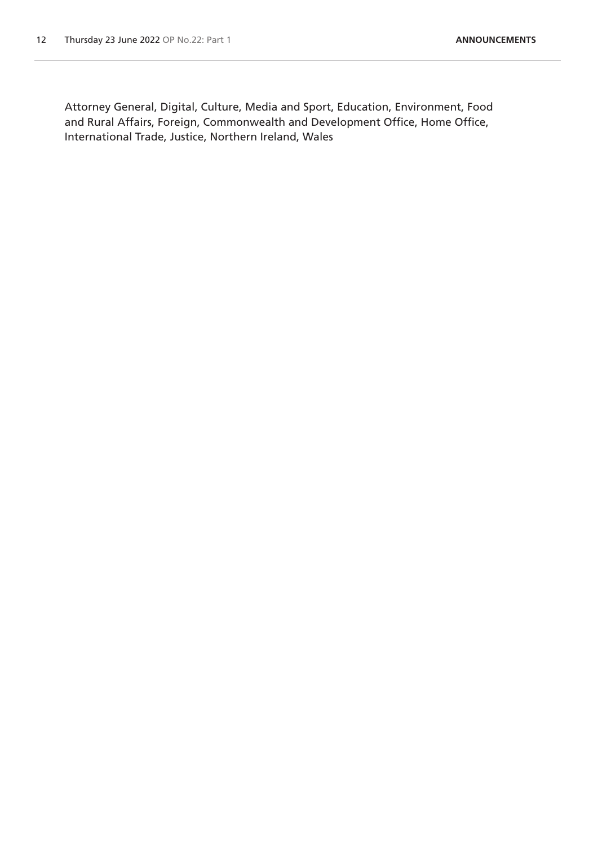Attorney General, Digital, Culture, Media and Sport, Education, Environment, Food and Rural Affairs, Foreign, Commonwealth and Development Office, Home Office, International Trade, Justice, Northern Ireland, Wales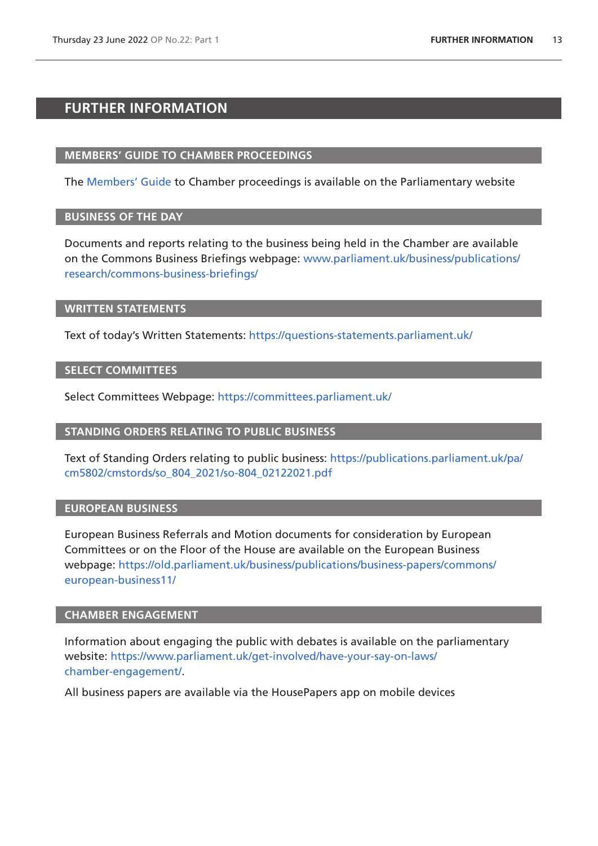# <span id="page-12-0"></span>**FURTHER INFORMATION**

### **MEMBERS' GUIDE TO CHAMBER PROCEEDINGS**

The [Members' Guide](https://guidetoprocedure.parliament.uk/mps-guide-to-procedure) to Chamber proceedings is available on the Parliamentary website

# **BUSINESS OF THE DAY**

Documents and reports relating to the business being held in the Chamber are available on the Commons Business Briefings webpage: [www.parliament.uk/business/publications/](http://www.parliament.uk/business/publications/research/commons-business-briefings/) [research/commons-business-briefings/](http://www.parliament.uk/business/publications/research/commons-business-briefings/)

### **WRITTEN STATEMENTS**

Text of today's Written Statements:<https://questions-statements.parliament.uk/>

### **SELECT COMMITTEES**

Select Committees Webpage: <https://committees.parliament.uk/>

### **STANDING ORDERS RELATING TO PUBLIC BUSINESS**

Text of Standing Orders relating to public business: [https://publications.parliament.uk/pa/](https://publications.parliament.uk/pa/cm5802/cmstords/so_804_2021/so-804_02122021.pdf) [cm5802/cmstords/so\\_804\\_2021/so-804\\_02122021.pdf](https://publications.parliament.uk/pa/cm5802/cmstords/so_804_2021/so-804_02122021.pdf)

# **EUROPEAN BUSINESS**

European Business Referrals and Motion documents for consideration by European Committees or on the Floor of the House are available on the European Business webpage: [https://old.parliament.uk/business/publications/business-papers/commons/](https://old.parliament.uk/business/publications/business-papers/commons/european-business11/) [european-business11/](https://old.parliament.uk/business/publications/business-papers/commons/european-business11/)

### **CHAMBER ENGAGEMENT**

Information about engaging the public with debates is available on the parliamentary website: [https://www.parliament.uk/get-involved/have-your-say-on-laws/](https://www.parliament.uk/get-involved/have-your-say-on-laws/chamber-engagement/) [chamber-engagement/.](https://www.parliament.uk/get-involved/have-your-say-on-laws/chamber-engagement/)

All business papers are available via the HousePapers app on mobile devices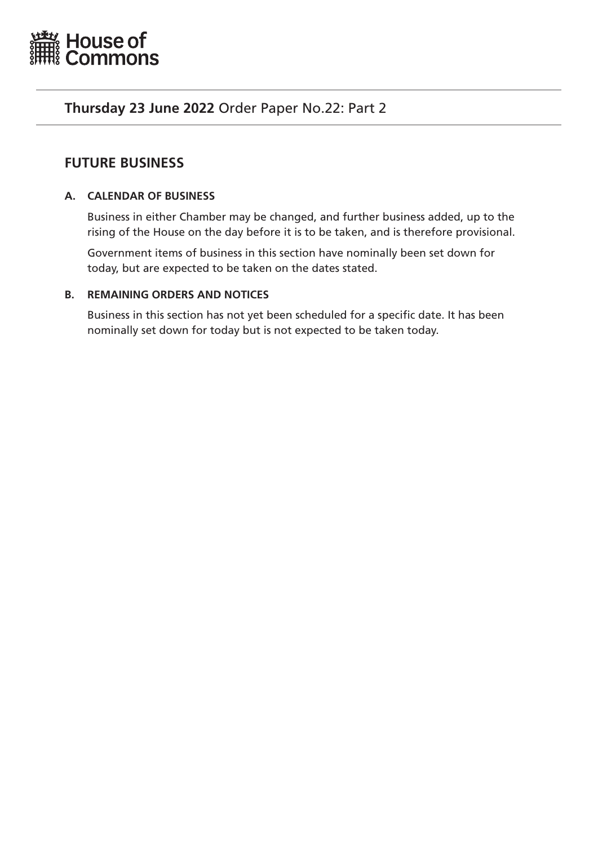<span id="page-14-0"></span>

# **Thursday 23 June 2022** Order Paper No.22: Part 2

# **FUTURE BUSINESS**

# **A. CALENDAR OF BUSINESS**

Business in either Chamber may be changed, and further business added, up to the rising of the House on the day before it is to be taken, and is therefore provisional.

Government items of business in this section have nominally been set down for today, but are expected to be taken on the dates stated.

# **B. REMAINING ORDERS AND NOTICES**

Business in this section has not yet been scheduled for a specific date. It has been nominally set down for today but is not expected to be taken today.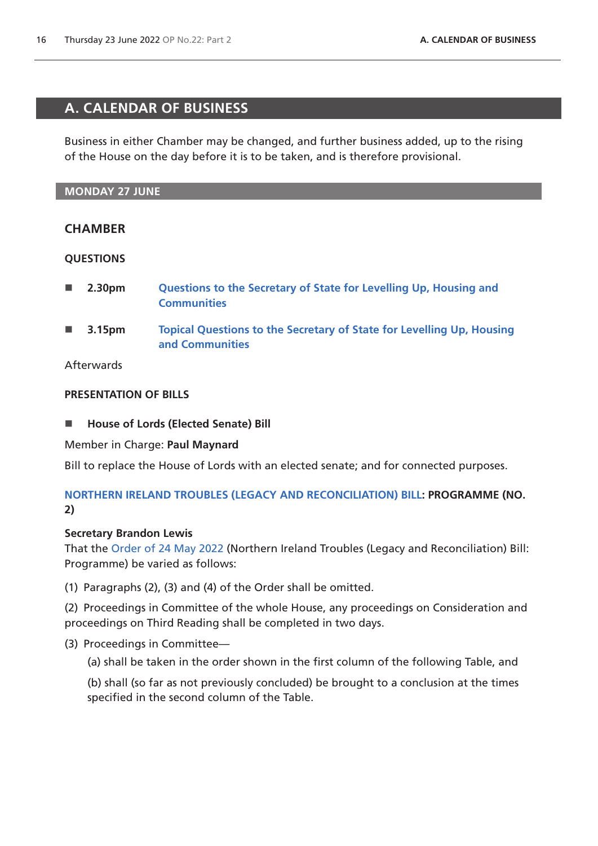# <span id="page-15-0"></span>**A. CALENDAR OF BUSINESS**

Business in either Chamber may be changed, and further business added, up to the rising of the House on the day before it is to be taken, and is therefore provisional.

# **MONDAY 27 JUNE**

# **CHAMBER**

# **QUESTIONS**

- **2.30pm [Questions to the Secretary of State for Levelling Up, Housing and](https://commonsbusiness.parliament.uk/Document/57614/Html?subType=Standard#anchor-1)  [Communities](https://commonsbusiness.parliament.uk/Document/57614/Html?subType=Standard#anchor-1)**
- **3.15pm [Topical Questions to the Secretary of State for Levelling Up, Housing](https://commonsbusiness.parliament.uk/Document/57614/Html?subType=Standard#anchor-2)  [and Communities](https://commonsbusiness.parliament.uk/Document/57614/Html?subType=Standard#anchor-2)**

# Afterwards

# **PRESENTATION OF BILLS**

■ House of Lords (Elected Senate) Bill

Member in Charge: **Paul Maynard**

Bill to replace the House of Lords with an elected senate; and for connected purposes.

# **[NORTHERN IRELAND TROUBLES \(LEGACY AND RECONCILIATION\) BILL](https://publications.parliament.uk/pa/bills/cbill/58-03/0010/220010.pdf): PROGRAMME (NO. 2)**

# **Secretary Brandon Lewis**

That the [Order of 24 May 2022](https://commonsbusiness.parliament.uk/Document/56961/Pdf?subType=Standard) (Northern Ireland Troubles (Legacy and Reconciliation) Bill: Programme) be varied as follows:

(1) Paragraphs (2), (3) and (4) of the Order shall be omitted.

(2) Proceedings in Committee of the whole House, any proceedings on Consideration and proceedings on Third Reading shall be completed in two days.

- (3) Proceedings in Committee—
	- (a) shall be taken in the order shown in the first column of the following Table, and

(b) shall (so far as not previously concluded) be brought to a conclusion at the times specified in the second column of the Table.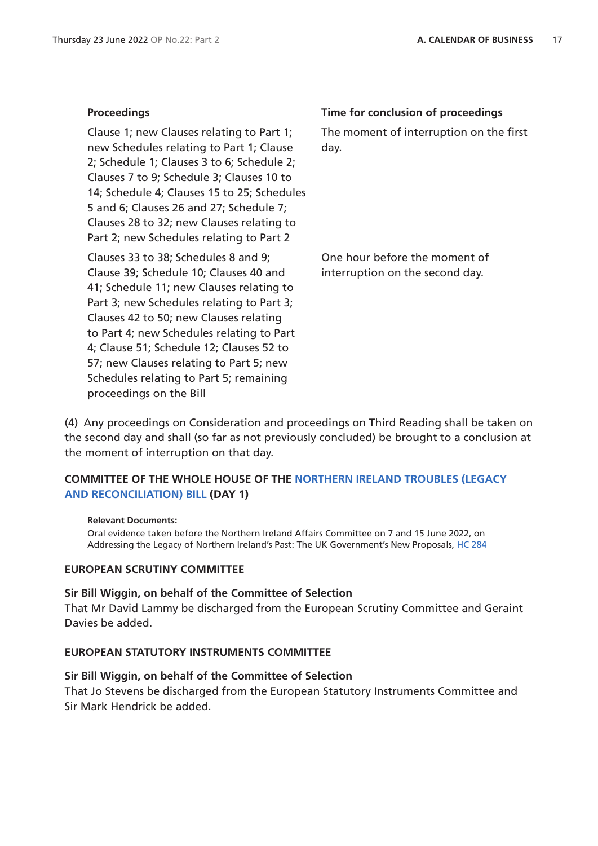Clause 1; new Clauses relating to Part 1; new Schedules relating to Part 1; Clause 2; Schedule 1; Clauses 3 to 6; Schedule 2; Clauses 7 to 9; Schedule 3; Clauses 10 to 14; Schedule 4; Clauses 15 to 25; Schedules 5 and 6; Clauses 26 and 27; Schedule 7; Clauses 28 to 32; new Clauses relating to Part 2; new Schedules relating to Part 2

Clauses 33 to 38; Schedules 8 and 9; Clause 39; Schedule 10; Clauses 40 and 41; Schedule 11; new Clauses relating to Part 3; new Schedules relating to Part 3; Clauses 42 to 50; new Clauses relating to Part 4; new Schedules relating to Part 4; Clause 51; Schedule 12; Clauses 52 to 57; new Clauses relating to Part 5; new Schedules relating to Part 5; remaining proceedings on the Bill

### **Proceedings Time for conclusion of proceedings**

The moment of interruption on the first day.

One hour before the moment of interruption on the second day.

(4) Any proceedings on Consideration and proceedings on Third Reading shall be taken on the second day and shall (so far as not previously concluded) be brought to a conclusion at the moment of interruption on that day.

# **COMMITTEE OF THE WHOLE HOUSE OF THE [NORTHERN IRELAND TROUBLES \(LEGACY](https://publications.parliament.uk/pa/bills/cbill/58-03/0010/220010.pdf)  [AND RECONCILIATION\) BILL](https://publications.parliament.uk/pa/bills/cbill/58-03/0010/220010.pdf) (DAY 1)**

#### **Relevant Documents:**

Oral evidence taken before the Northern Ireland Affairs Committee on 7 and 15 June 2022, on Addressing the Legacy of Northern Ireland's Past: The UK Government's New Proposals, [HC 284](https://committees.parliament.uk/work/282/addressing-the-legacy-of-northern-irelands-past-the-uk-governments-new-proposals/publications/oral-evidence/?SearchTerm=&DateFrom=07%2F06%2F2022&DateTo=16%2F06%2F2022&SessionId=)

### **EUROPEAN SCRUTINY COMMITTEE**

# **Sir Bill Wiggin, on behalf of the Committee of Selection**

That Mr David Lammy be discharged from the European Scrutiny Committee and Geraint Davies be added.

# **EUROPEAN STATUTORY INSTRUMENTS COMMITTEE**

# **Sir Bill Wiggin, on behalf of the Committee of Selection**

That Jo Stevens be discharged from the European Statutory Instruments Committee and Sir Mark Hendrick be added.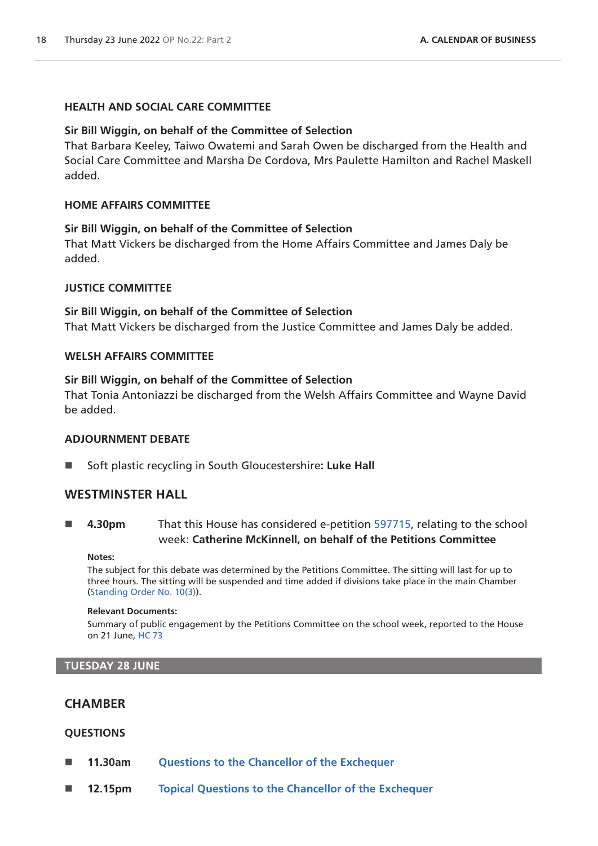# **HEALTH AND SOCIAL CARE COMMITTEE**

# **Sir Bill Wiggin, on behalf of the Committee of Selection**

That Barbara Keeley, Taiwo Owatemi and Sarah Owen be discharged from the Health and Social Care Committee and Marsha De Cordova, Mrs Paulette Hamilton and Rachel Maskell added.

### **HOME AFFAIRS COMMITTEE**

# **Sir Bill Wiggin, on behalf of the Committee of Selection**

That Matt Vickers be discharged from the Home Affairs Committee and James Daly be added.

### **JUSTICE COMMITTEE**

# **Sir Bill Wiggin, on behalf of the Committee of Selection**

That Matt Vickers be discharged from the Justice Committee and James Daly be added.

### **WELSH AFFAIRS COMMITTEE**

### **Sir Bill Wiggin, on behalf of the Committee of Selection**

That Tonia Antoniazzi be discharged from the Welsh Affairs Committee and Wayne David be added.

# **ADJOURNMENT DEBATE**

Soft plastic recycling in South Gloucestershire**: Luke Hall**

# **WESTMINSTER HALL**

 **4.30pm** That this House has considered e-petition [597715](https://petition.parliament.uk/petitions/597715), relating to the school week: **Catherine McKinnell, on behalf of the Petitions Committee**

#### **Notes:**

The subject for this debate was determined by the Petitions Committee. The sitting will last for up to three hours. The sitting will be suspended and time added if divisions take place in the main Chamber [\(Standing Order No. 10\(3\)](https://publications.parliament.uk/pa/cm5802/cmstords/so_804_2021/so-orders.html#so-10_3)).

#### **Relevant Documents:**

Summary of public engagement by the Petitions Committee on the school week, reported to the House on 21 June[, HC 73](https://committees.parliament.uk/writtenevidence/109373/default/)

### **TUESDAY 28 JUNE**

# **CHAMBER**

# **QUESTIONS**

- **11.30am [Questions to the Chancellor of the Exchequer](https://commonsbusiness.parliament.uk/Document/57614/Html?subType=Standard#anchor-4)**
- **12.15pm [Topical Questions to the Chancellor of the Exchequer](https://commonsbusiness.parliament.uk/Document/57614/Html?subType=Standard#anchor-5)**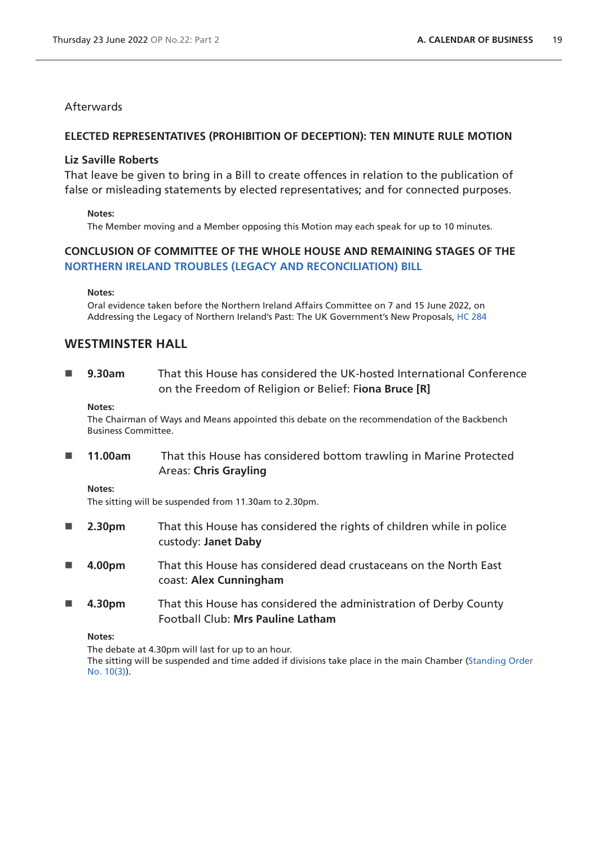# **Afterwards**

# **ELECTED REPRESENTATIVES (PROHIBITION OF DECEPTION): TEN MINUTE RULE MOTION**

# **Liz Saville Roberts**

That leave be given to bring in a Bill to create offences in relation to the publication of false or misleading statements by elected representatives; and for connected purposes.

### **Notes:**

The Member moving and a Member opposing this Motion may each speak for up to 10 minutes.

# **CONCLUSION OF COMMITTEE OF THE WHOLE HOUSE AND REMAINING STAGES OF THE [NORTHERN IRELAND TROUBLES \(LEGACY AND RECONCILIATION\) BILL](https://publications.parliament.uk/pa/bills/cbill/58-03/0010/220010.pdf)**

#### **Notes:**

Oral evidence taken before the Northern Ireland Affairs Committee on 7 and 15 June 2022, on Addressing the Legacy of Northern Ireland's Past: The UK Government's New Proposals, [HC 284](https://committees.parliament.uk/work/282/addressing-the-legacy-of-northern-irelands-past-the-uk-governments-new-proposals/publications/oral-evidence/?SearchTerm=&DateFrom=07%2F06%2F2022&DateTo=16%2F06%2F2022&SessionId=)

# **WESTMINSTER HALL**

 **9.30am** That this House has considered the UK-hosted International Conference on the Freedom of Religion or Belief: F**iona Bruce [R]**

#### **Notes:**

The Chairman of Ways and Means appointed this debate on the recommendation of the Backbench Business Committee.

 **11.00am** That this House has considered bottom trawling in Marine Protected Areas: **Chris Grayling**

### **Notes:**

The sitting will be suspended from 11.30am to 2.30pm.

- 2.30pm That this House has considered the rights of children while in police custody: **Janet Daby**
- **4.00pm** That this House has considered dead crustaceans on the North East coast: **Alex Cunningham**
- **4.30pm** That this House has considered the administration of Derby County Football Club: **Mrs Pauline Latham**

### **Notes:**

The debate at 4.30pm will last for up to an hour. The sitting will be suspended and time added if divisions take place in the main Chamber [\(Standing Order](https://publications.parliament.uk/pa/cm5802/cmstords/so_804_2021/so-orders.html#so-10_3)  [No. 10\(3\)](https://publications.parliament.uk/pa/cm5802/cmstords/so_804_2021/so-orders.html#so-10_3)).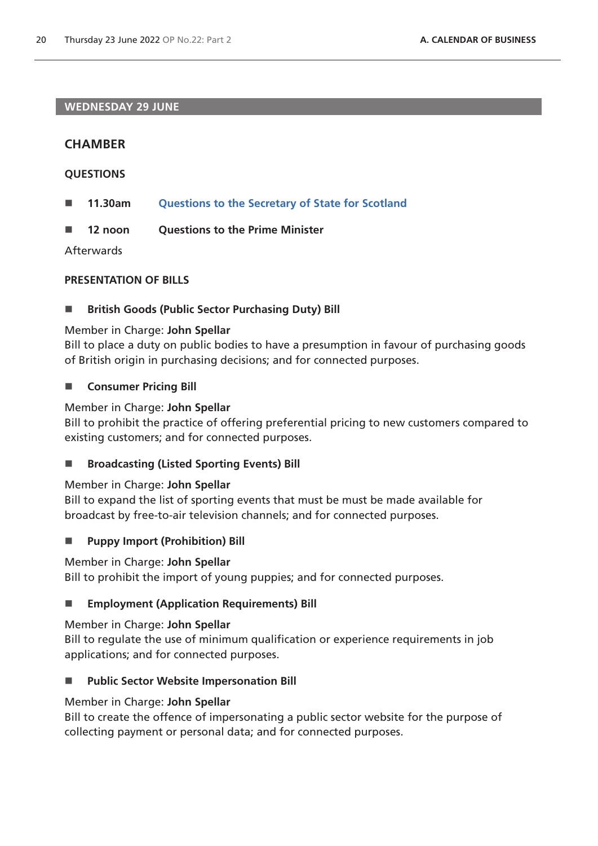# **WEDNESDAY 29 JUNE**

# **CHAMBER**

# **QUESTIONS**

- **11.30am [Questions to the Secretary of State for Scotland](https://commonsbusiness.parliament.uk/Document/57614/Html?subType=Standard#anchor-7)**
- **12 noon Questions to the Prime Minister**

Afterwards

# **PRESENTATION OF BILLS**

# **British Goods (Public Sector Purchasing Duty) Bill**

# Member in Charge: **John Spellar**

Bill to place a duty on public bodies to have a presumption in favour of purchasing goods of British origin in purchasing decisions; and for connected purposes.

# **E** Consumer Pricing Bill

# Member in Charge: **John Spellar**

Bill to prohibit the practice of offering preferential pricing to new customers compared to existing customers; and for connected purposes.

# ■ Broadcasting (Listed Sporting Events) Bill

# Member in Charge: **John Spellar**

Bill to expand the list of sporting events that must be must be made available for broadcast by free-to-air television channels; and for connected purposes.

# **Puppy Import (Prohibition) Bill**

# Member in Charge: **John Spellar**

Bill to prohibit the import of young puppies; and for connected purposes.

# **Employment (Application Requirements) Bill**

# Member in Charge: **John Spellar**

Bill to regulate the use of minimum qualification or experience requirements in job applications; and for connected purposes.

# **Public Sector Website Impersonation Bill**

# Member in Charge: **John Spellar**

Bill to create the offence of impersonating a public sector website for the purpose of collecting payment or personal data; and for connected purposes.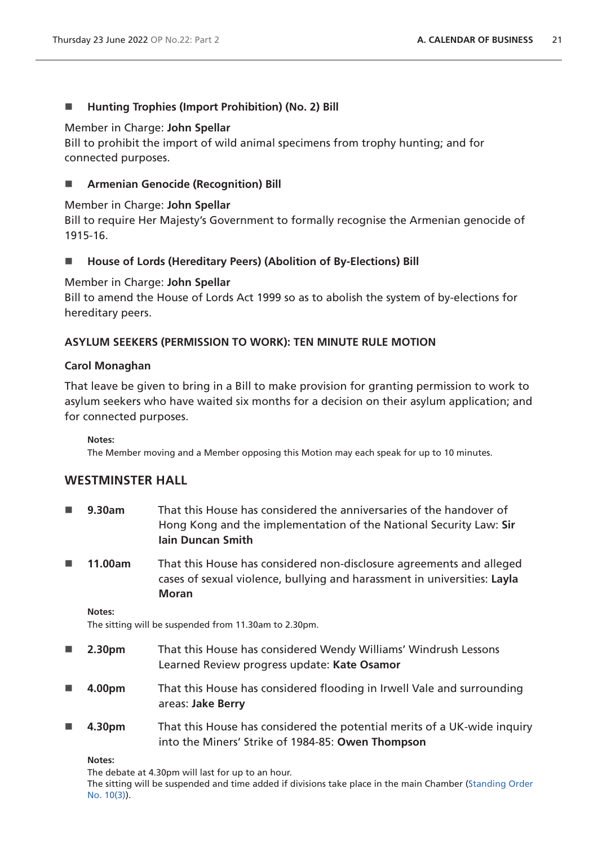# ■ Hunting Trophies (Import Prohibition) (No. 2) Bill

### Member in Charge: **John Spellar**

Bill to prohibit the import of wild animal specimens from trophy hunting; and for connected purposes.

# **Armenian Genocide (Recognition) Bill**

# Member in Charge: **John Spellar**

Bill to require Her Majesty's Government to formally recognise the Armenian genocide of 1915-16.

# **House of Lords (Hereditary Peers) (Abolition of By-Elections) Bill**

# Member in Charge: **John Spellar**

Bill to amend the House of Lords Act 1999 so as to abolish the system of by-elections for hereditary peers.

# **ASYLUM SEEKERS (PERMISSION TO WORK): TEN MINUTE RULE MOTION**

# **Carol Monaghan**

That leave be given to bring in a Bill to make provision for granting permission to work to asylum seekers who have waited six months for a decision on their asylum application; and for connected purposes.

**Notes:**

The Member moving and a Member opposing this Motion may each speak for up to 10 minutes.

# **WESTMINSTER HALL**

- **9.30am** That this House has considered the anniversaries of the handover of Hong Kong and the implementation of the National Security Law: **Sir Iain Duncan Smith**
- **11.00am** That this House has considered non-disclosure agreements and alleged cases of sexual violence, bullying and harassment in universities: **Layla Moran**

**Notes:**

The sitting will be suspended from 11.30am to 2.30pm.

- **2.30pm** That this House has considered Wendy Williams' Windrush Lessons Learned Review progress update: **Kate Osamor**
- **4.00pm** That this House has considered flooding in Irwell Vale and surrounding areas: **Jake Berry**
- **4.30pm** That this House has considered the potential merits of a UK-wide inquiry into the Miners' Strike of 1984-85: **Owen Thompson**

### **Notes:**

The debate at 4.30pm will last for up to an hour. The sitting will be suspended and time added if divisions take place in the main Chamber [\(Standing Order](https://publications.parliament.uk/pa/cm5802/cmstords/so_804_2021/so-orders.html#so-10_3)  [No. 10\(3\)](https://publications.parliament.uk/pa/cm5802/cmstords/so_804_2021/so-orders.html#so-10_3)).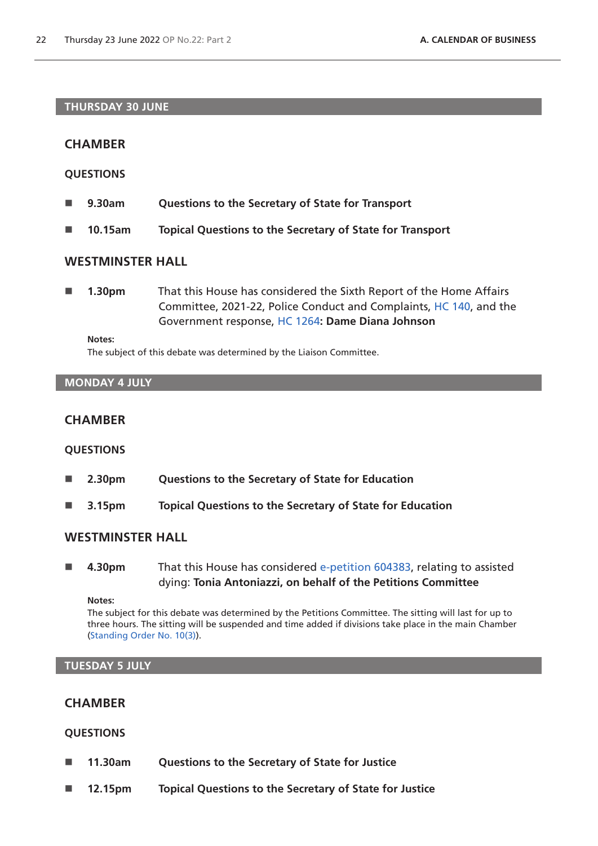### **THURSDAY 30 JUNE**

# **CHAMBER**

### **QUESTIONS**

- **9.30am Questions to the Secretary of State for Transport**
- **10.15am Topical Questions to the Secretary of State for Transport**

# **WESTMINSTER HALL**

 **1.30pm** That this House has considered the Sixth Report of the Home Affairs Committee, 2021-22, Police Conduct and Complaints, [HC 140](https://committees.parliament.uk/publications/9006/documents/166181/default/), and the Government response, [HC 1264](https://committees.parliament.uk/publications/22040/documents/165761/default/)**: Dame Diana Johnson**

#### **Notes:**

The subject of this debate was determined by the Liaison Committee.

# **MONDAY 4 JULY**

# **CHAMBER**

### **QUESTIONS**

- **2.30pm Questions to the Secretary of State for Education**
- **3.15pm Topical Questions to the Secretary of State for Education**

# **WESTMINSTER HALL**

 **4.30pm** That this House has considered [e-petition 604383](https://petition.parliament.uk/petitions/604383), relating to assisted dying: **Tonia Antoniazzi, on behalf of the Petitions Committee**

**Notes:**

The subject for this debate was determined by the Petitions Committee. The sitting will last for up to three hours. The sitting will be suspended and time added if divisions take place in the main Chamber [\(Standing Order No. 10\(3\)](https://publications.parliament.uk/pa/cm5802/cmstords/so_804_2021/so-orders.html#so-10_3)).

### **TUESDAY 5 JULY**

# **CHAMBER**

# **QUESTIONS**

- **11.30am Questions to the Secretary of State for Justice**
- **12.15pm Topical Questions to the Secretary of State for Justice**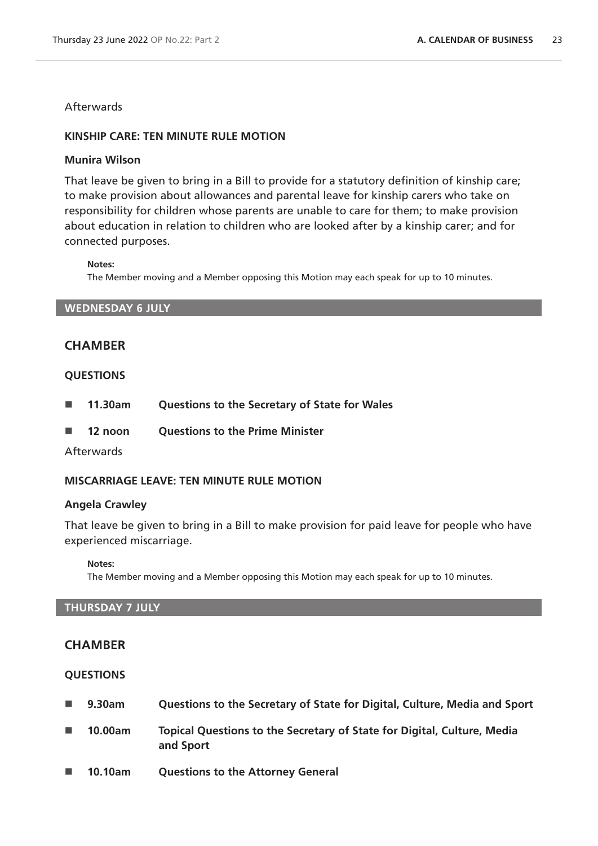**Afterwards** 

# **KINSHIP CARE: TEN MINUTE RULE MOTION**

# **Munira Wilson**

That leave be given to bring in a Bill to provide for a statutory definition of kinship care; to make provision about allowances and parental leave for kinship carers who take on responsibility for children whose parents are unable to care for them; to make provision about education in relation to children who are looked after by a kinship carer; and for connected purposes.

**Notes:**

The Member moving and a Member opposing this Motion may each speak for up to 10 minutes.

**WEDNESDAY 6 JULY**

# **CHAMBER**

# **QUESTIONS**

- **11.30am Questions to the Secretary of State for Wales**
- **12 noon Questions to the Prime Minister**

# **Afterwards**

# **MISCARRIAGE LEAVE: TEN MINUTE RULE MOTION**

# **Angela Crawley**

That leave be given to bring in a Bill to make provision for paid leave for people who have experienced miscarriage.

### **Notes:**

The Member moving and a Member opposing this Motion may each speak for up to 10 minutes.

# **THURSDAY 7 JULY**

# **CHAMBER**

# **QUESTIONS**

- **9.30am Questions to the Secretary of State for Digital, Culture, Media and Sport**
- **10.00am Topical Questions to the Secretary of State for Digital, Culture, Media and Sport**
- **10.10am Questions to the Attorney General**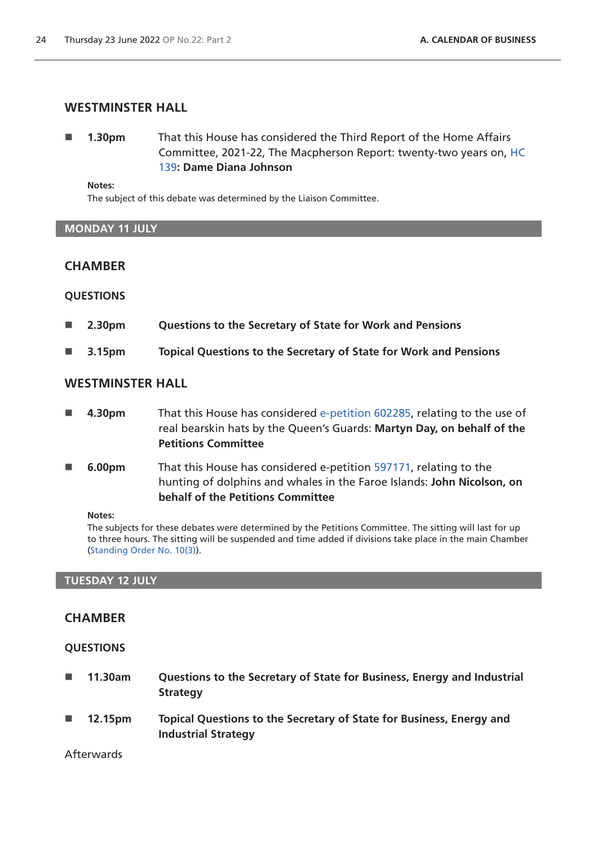# **WESTMINSTER HALL**

 **1.30pm** That this House has considered the Third Report of the Home Affairs Committee, 2021-22, The Macpherson Report: twenty-two years on, [HC](https://committees.parliament.uk/publications/7012/documents/89144/default/)  [139](https://committees.parliament.uk/publications/7012/documents/89144/default/)**: Dame Diana Johnson**

#### **Notes:**

The subject of this debate was determined by the Liaison Committee.

### **MONDAY 11 JULY**

# **CHAMBER**

# **QUESTIONS**

- **2.30pm Questions to the Secretary of State for Work and Pensions**
- **3.15pm Topical Questions to the Secretary of State for Work and Pensions**

# **WESTMINSTER HALL**

- **4.30pm** That this House has considered [e-petition 602285](https://petition.parliament.uk/petitions/602285), relating to the use of real bearskin hats by the Queen's Guards: **Martyn Day, on behalf of the Petitions Committee**
- **6.00pm** That this House has considered e-petition [597171](https://petition.parliament.uk/petitions/597171), relating to the hunting of dolphins and whales in the Faroe Islands: **John Nicolson, on behalf of the Petitions Committee**

#### **Notes:**

The subjects for these debates were determined by the Petitions Committee. The sitting will last for up to three hours. The sitting will be suspended and time added if divisions take place in the main Chamber [\(Standing Order No. 10\(3\)](https://publications.parliament.uk/pa/cm5802/cmstords/so_804_2021/so-orders.html#so-10_3)).

### **TUESDAY 12 JULY**

# **CHAMBER**

# **QUESTIONS**

- **11.30am Questions to the Secretary of State for Business, Energy and Industrial Strategy**
- **12.15pm Topical Questions to the Secretary of State for Business, Energy and Industrial Strategy**

Afterwards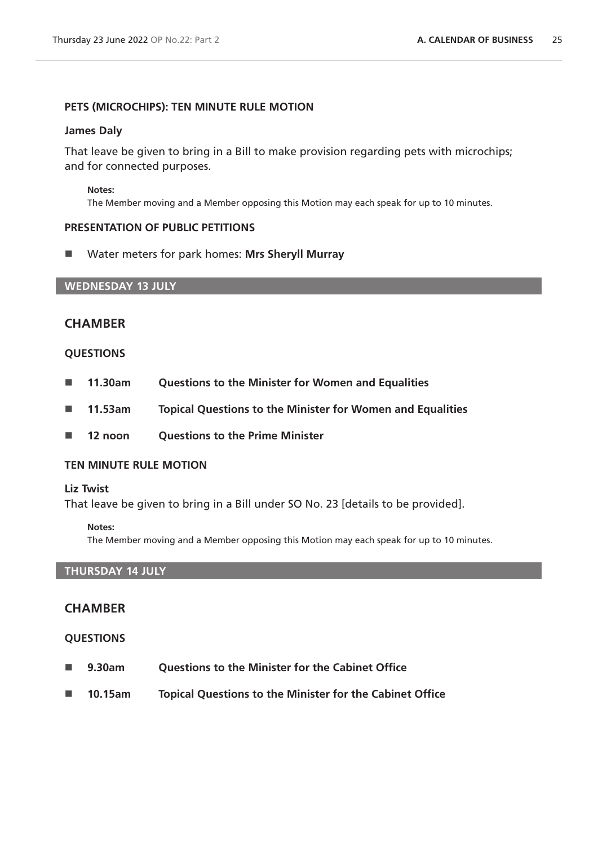# **PETS (MICROCHIPS): TEN MINUTE RULE MOTION**

### **James Daly**

That leave be given to bring in a Bill to make provision regarding pets with microchips; and for connected purposes.

#### **Notes:**

The Member moving and a Member opposing this Motion may each speak for up to 10 minutes.

### **PRESENTATION OF PUBLIC PETITIONS**

Water meters for park homes: **Mrs Sheryll Murray**

# **WEDNESDAY 13 JULY**

# **CHAMBER**

### **QUESTIONS**

- **11.30am Questions to the Minister for Women and Equalities**
- **11.53am Topical Questions to the Minister for Women and Equalities**
- **12 noon Questions to the Prime Minister**

### **TEN MINUTE RULE MOTION**

### **Liz Twist**

That leave be given to bring in a Bill under SO No. 23 [details to be provided].

### **Notes:**

The Member moving and a Member opposing this Motion may each speak for up to 10 minutes.

# **THURSDAY 14 JULY**

# **CHAMBER**

### **QUESTIONS**

- **9.30am Questions to the Minister for the Cabinet Office**
- **10.15am Topical Questions to the Minister for the Cabinet Office**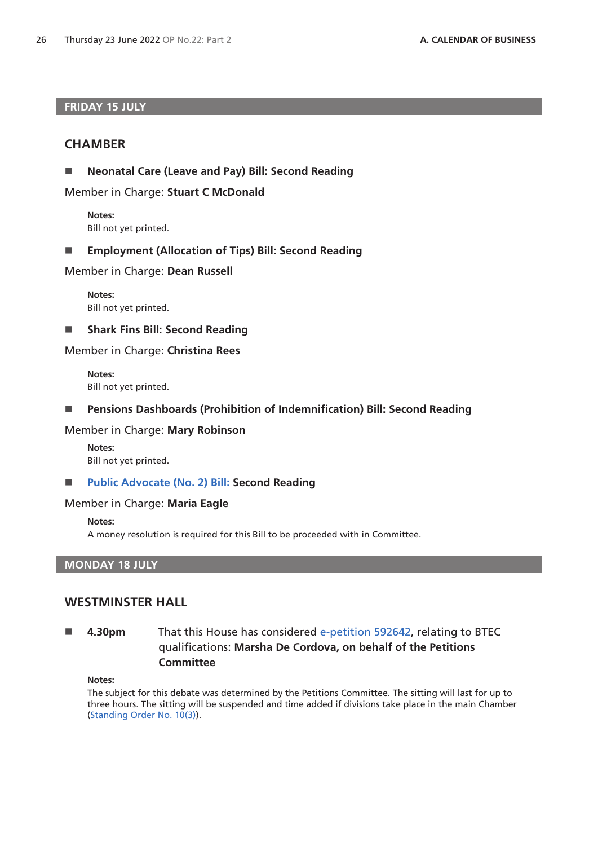### **FRIDAY 15 JULY**

# **CHAMBER**

**Neonatal Care (Leave and Pay) Bill: Second Reading**

Member in Charge: **Stuart C McDonald**

**Notes:** Bill not yet printed.

**Employment (Allocation of Tips) Bill: Second Reading**

Member in Charge: **Dean Russell**

**Notes:** Bill not yet printed.

**Shark Fins Bill: Second Reading**

### Member in Charge: **Christina Rees**

**Notes:** Bill not yet printed.

**Pensions Dashboards (Prohibition of Indemnification) Bill: Second Reading**

# Member in Charge: **Mary Robinson**

**Notes:** Bill not yet printed.

# ■ [Public Advocate \(No. 2\) Bill: S](https://publications.parliament.uk/pa/bills/cbill/58-03/0047/220047.pdf)econd Reading

### Member in Charge: **Maria Eagle**

**Notes:**

A money resolution is required for this Bill to be proceeded with in Committee.

# **MONDAY 18 JULY**

# **WESTMINSTER HALL**

# **4.30pm** That this House has considered [e-petition 592642](https://petition.parliament.uk/petitions/592642), relating to BTEC qualifications: **Marsha De Cordova, on behalf of the Petitions Committee**

#### **Notes:**

The subject for this debate was determined by the Petitions Committee. The sitting will last for up to three hours. The sitting will be suspended and time added if divisions take place in the main Chamber [\(Standing Order No. 10\(3\)](https://publications.parliament.uk/pa/cm5802/cmstords/so_804_2021/so-orders.html#so-10_3)).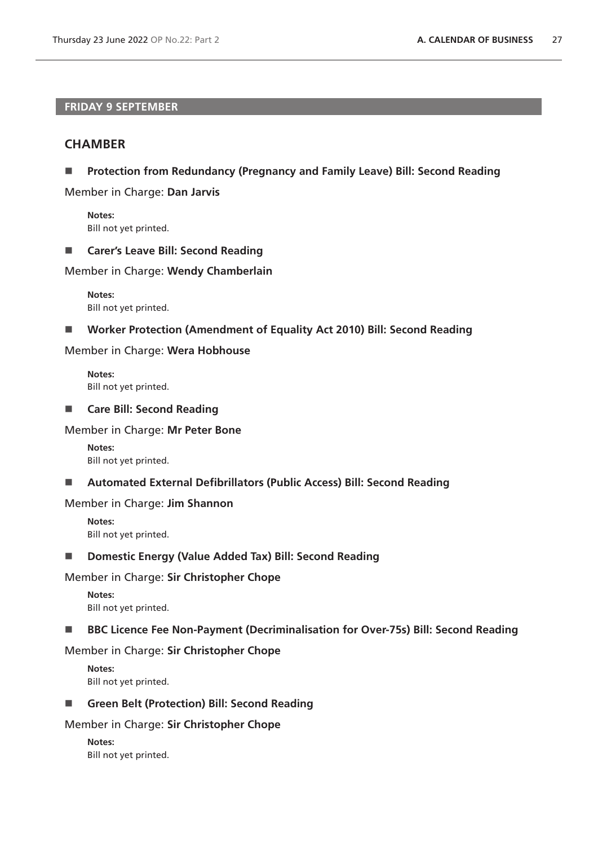# **FRIDAY 9 SEPTEMBER**

# **CHAMBER**

**Protection from Redundancy (Pregnancy and Family Leave) Bill: Second Reading**

Member in Charge: **Dan Jarvis**

**Notes:** Bill not yet printed.

### ■ **Carer's Leave Bill: Second Reading**

Member in Charge: **Wendy Chamberlain**

**Notes:** Bill not yet printed.

### **Worker Protection (Amendment of Equality Act 2010) Bill: Second Reading**

### Member in Charge: **Wera Hobhouse**

**Notes:** Bill not yet printed.

### **Care Bill: Second Reading**

### Member in Charge: **Mr Peter Bone**

**Notes:** Bill not yet printed.

# **Automated External Defibrillators (Public Access) Bill: Second Reading**

### Member in Charge: **Jim Shannon**

**Notes:** Bill not yet printed.

### ■ **Domestic Energy (Value Added Tax) Bill: Second Reading**

### Member in Charge: **Sir Christopher Chope**

**Notes:** Bill not yet printed.

# ■ BBC Licence Fee Non-Payment (Decriminalisation for Over-75s) Bill: Second Reading

### Member in Charge: **Sir Christopher Chope**

**Notes:** Bill not yet printed.

■ Green Belt (Protection) Bill: Second Reading

# Member in Charge: **Sir Christopher Chope**

| Notes: |                       |
|--------|-----------------------|
|        | Bill not yet printed. |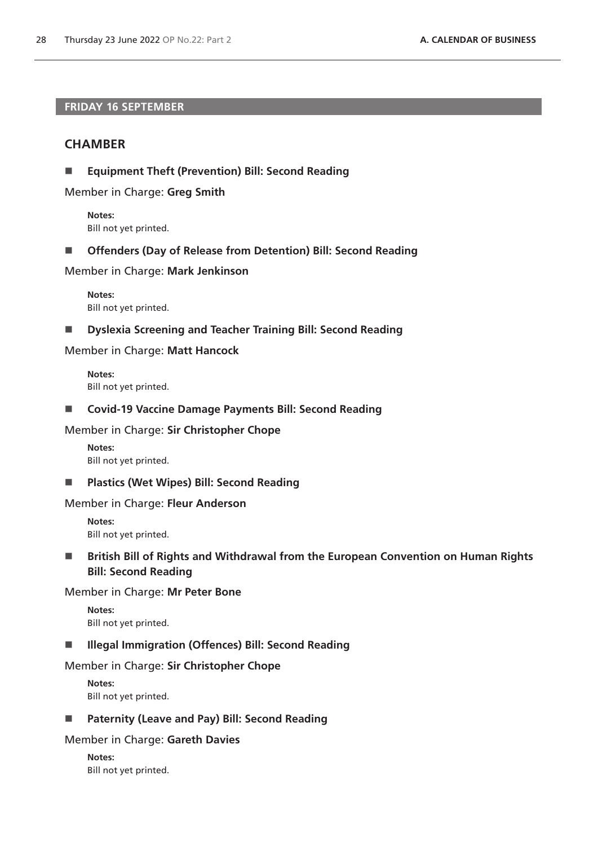# **FRIDAY 16 SEPTEMBER**

# **CHAMBER**

**Equipment Theft (Prevention) Bill: Second Reading**

Member in Charge: **Greg Smith**

**Notes:** Bill not yet printed.

**Offenders (Day of Release from Detention) Bill: Second Reading**

Member in Charge: **Mark Jenkinson**

**Notes:** Bill not yet printed.

**Dyslexia Screening and Teacher Training Bill: Second Reading**

# Member in Charge: **Matt Hancock**

**Notes:** Bill not yet printed.

**Covid-19 Vaccine Damage Payments Bill: Second Reading**

### Member in Charge: **Sir Christopher Chope**

**Notes:** Bill not yet printed.

**Plastics (Wet Wipes) Bill: Second Reading**

### Member in Charge: **Fleur Anderson**

**Notes:** Bill not yet printed.

■ British Bill of Rights and Withdrawal from the European Convention on Human Rights **Bill: Second Reading**

### Member in Charge: **Mr Peter Bone**

**Notes:** Bill not yet printed.

# **III** Illegal Immigration (Offences) Bill: Second Reading

# Member in Charge: **Sir Christopher Chope**

**Notes:** Bill not yet printed.

**Paternity (Leave and Pay) Bill: Second Reading**

### Member in Charge: **Gareth Davies**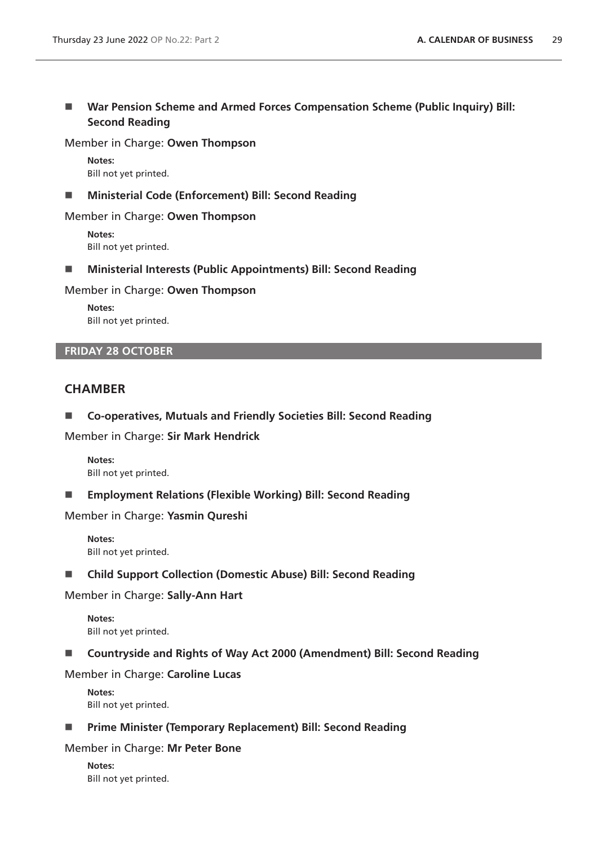■ War Pension Scheme and Armed Forces Compensation Scheme (Public Inquiry) Bill: **Second Reading**

Member in Charge: **Owen Thompson**

**Notes:** Bill not yet printed.

**Ministerial Code (Enforcement) Bill: Second Reading**

Member in Charge: **Owen Thompson**

**Notes:** Bill not yet printed.

**Ministerial Interests (Public Appointments) Bill: Second Reading**

Member in Charge: **Owen Thompson**

**Notes:** Bill not yet printed.

# **FRIDAY 28 OCTOBER**

# **CHAMBER**

**Co-operatives, Mutuals and Friendly Societies Bill: Second Reading**

Member in Charge: **Sir Mark Hendrick**

**Notes:** Bill not yet printed.

**Employment Relations (Flexible Working) Bill: Second Reading**

Member in Charge: **Yasmin Qureshi**

**Notes:** Bill not yet printed.

**Child Support Collection (Domestic Abuse) Bill: Second Reading**

Member in Charge: **Sally-Ann Hart**

**Notes:** Bill not yet printed.

■ Countryside and Rights of Way Act 2000 (Amendment) Bill: Second Reading

Member in Charge: **Caroline Lucas**

**Notes:** Bill not yet printed.

**Prime Minister (Temporary Replacement) Bill: Second Reading**

Member in Charge: **Mr Peter Bone**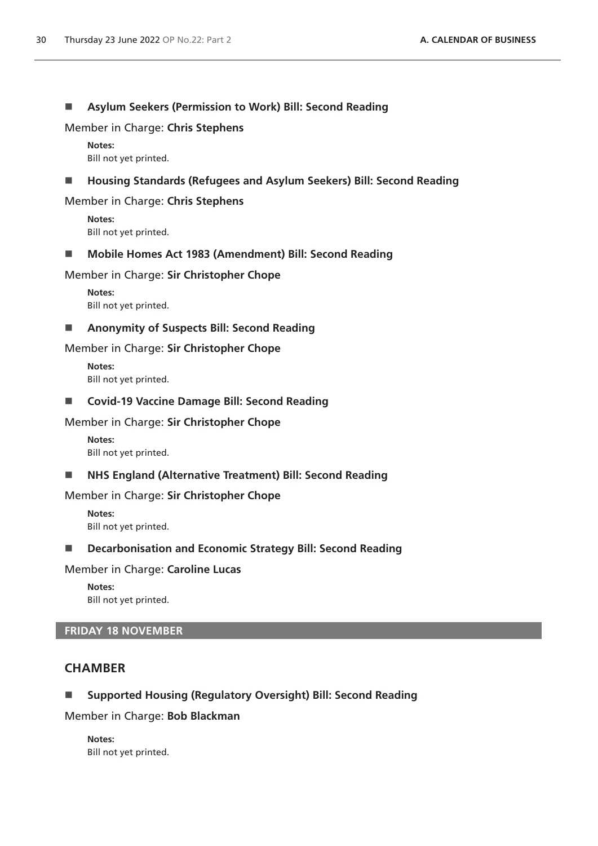# **Asylum Seekers (Permission to Work) Bill: Second Reading**

### Member in Charge: **Chris Stephens**

**Notes:** Bill not yet printed.

# **Housing Standards (Refugees and Asylum Seekers) Bill: Second Reading**

### Member in Charge: **Chris Stephens**

**Notes:** Bill not yet printed.

### **Mobile Homes Act 1983 (Amendment) Bill: Second Reading**

### Member in Charge: **Sir Christopher Chope**

**Notes:** Bill not yet printed.

# **Anonymity of Suspects Bill: Second Reading**

# Member in Charge: **Sir Christopher Chope**

**Notes:** Bill not yet printed.

### ■ Covid-19 Vaccine Damage Bill: Second Reading

### Member in Charge: **Sir Christopher Chope**

**Notes:** Bill not yet printed.

# ■ NHS England (Alternative Treatment) Bill: Second Reading

### Member in Charge: **Sir Christopher Chope**

**Notes:** Bill not yet printed.

# ■ **Decarbonisation and Economic Strategy Bill: Second Reading**

### Member in Charge: **Caroline Lucas**

**Notes:** Bill not yet printed.

# **FRIDAY 18 NOVEMBER**

# **CHAMBER**

# **Supported Housing (Regulatory Oversight) Bill: Second Reading**

Member in Charge: **Bob Blackman**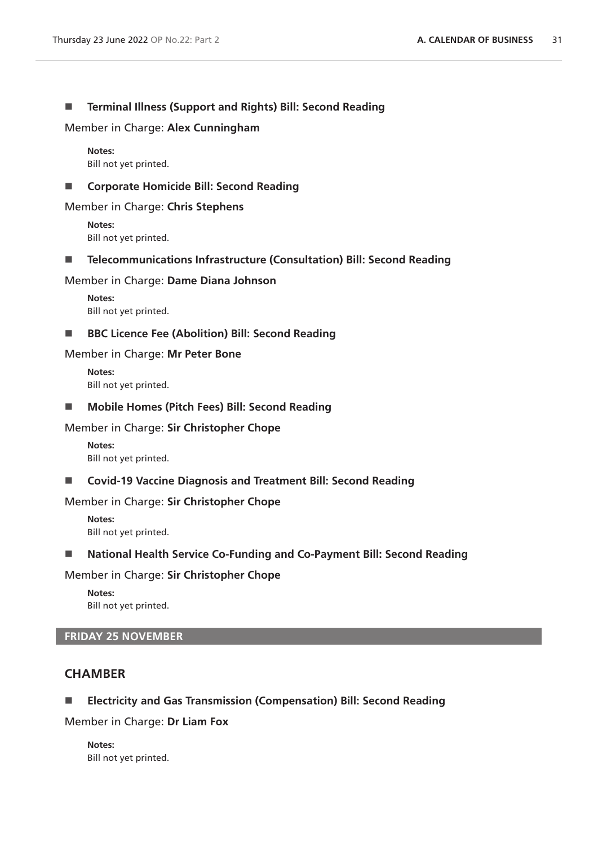# **Terminal Illness (Support and Rights) Bill: Second Reading**

Member in Charge: **Alex Cunningham**

**Notes:** Bill not yet printed.

# ■ Corporate Homicide Bill: Second Reading

# Member in Charge: **Chris Stephens**

**Notes:** Bill not yet printed.

**Telecommunications Infrastructure (Consultation) Bill: Second Reading**

# Member in Charge: **Dame Diana Johnson**

**Notes:** Bill not yet printed.

■ BBC Licence Fee (Abolition) Bill: Second Reading

# Member in Charge: **Mr Peter Bone**

**Notes:** Bill not yet printed.

■ Mobile Homes (Pitch Fees) Bill: Second Reading

# Member in Charge: **Sir Christopher Chope**

**Notes:** Bill not yet printed.

**Covid-19 Vaccine Diagnosis and Treatment Bill: Second Reading**

# Member in Charge: **Sir Christopher Chope**

**Notes:** Bill not yet printed.

# ■ National Health Service Co-Funding and Co-Payment Bill: Second Reading

# Member in Charge: **Sir Christopher Chope**

**Notes:** Bill not yet printed.

# **FRIDAY 25 NOVEMBER**

# **CHAMBER**

# **Electricity and Gas Transmission (Compensation) Bill: Second Reading**

# Member in Charge: **Dr Liam Fox**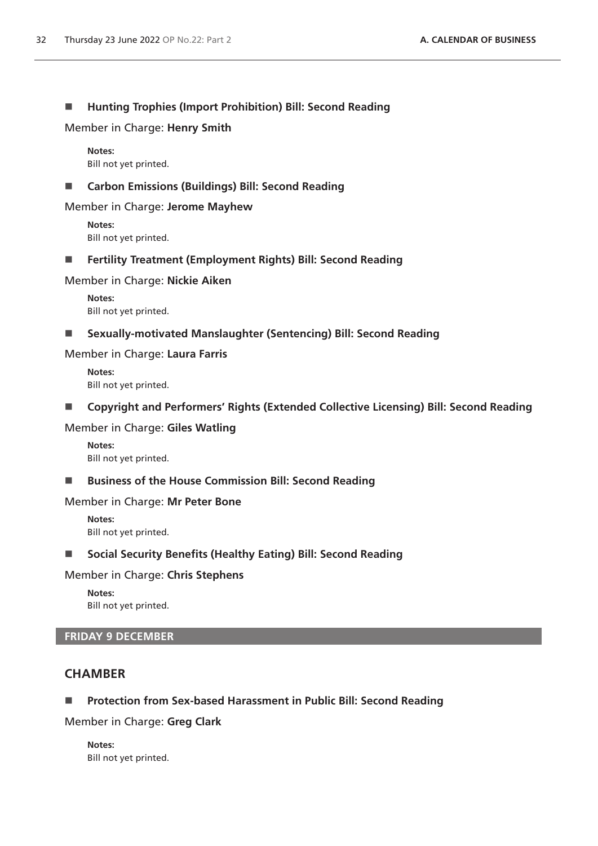# **Hunting Trophies (Import Prohibition) Bill: Second Reading**

Member in Charge: **Henry Smith**

**Notes:** Bill not yet printed.

# **Carbon Emissions (Buildings) Bill: Second Reading**

Member in Charge: **Jerome Mayhew**

**Notes:** Bill not yet printed.

**Fertility Treatment (Employment Rights) Bill: Second Reading**

# Member in Charge: **Nickie Aiken**

**Notes:** Bill not yet printed.

**Sexually-motivated Manslaughter (Sentencing) Bill: Second Reading**

### Member in Charge: **Laura Farris**

**Notes:** Bill not yet printed.

■ Copyright and Performers' Rights (Extended Collective Licensing) Bill: Second Reading

### Member in Charge: **Giles Watling**

**Notes:** Bill not yet printed.

# ■ Business of the House Commission Bill: Second Reading

### Member in Charge: **Mr Peter Bone**

**Notes:** Bill not yet printed.

# **Social Security Benefits (Healthy Eating) Bill: Second Reading**

# Member in Charge: **Chris Stephens**

**Notes:** Bill not yet printed.

# **FRIDAY 9 DECEMBER**

# **CHAMBER**

# **Protection from Sex-based Harassment in Public Bill: Second Reading**

### Member in Charge: **Greg Clark**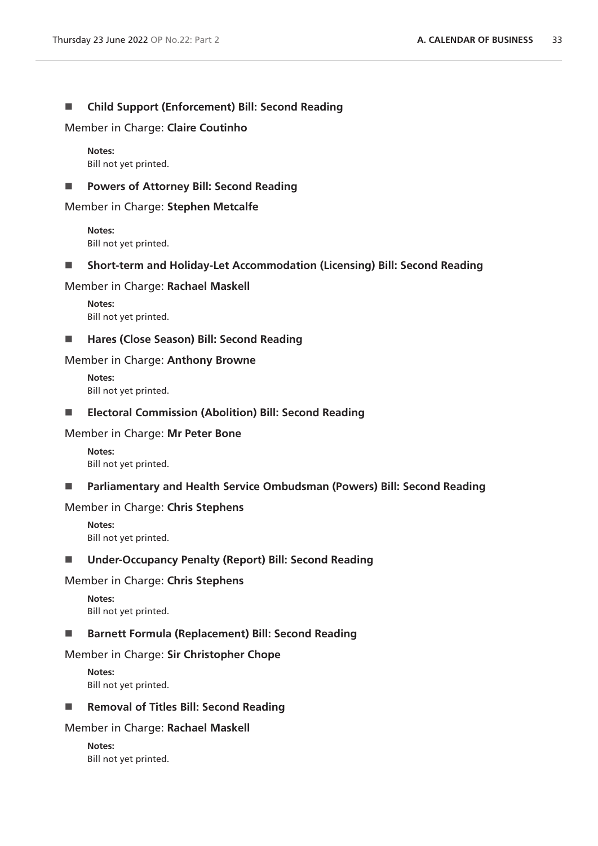# **Child Support (Enforcement) Bill: Second Reading**

Member in Charge: **Claire Coutinho**

**Notes:** Bill not yet printed.

# ■ Powers of Attorney Bill: Second Reading

Member in Charge: **Stephen Metcalfe**

**Notes:** Bill not yet printed.

**Short-term and Holiday-Let Accommodation (Licensing) Bill: Second Reading**

# Member in Charge: **Rachael Maskell**

**Notes:** Bill not yet printed.

■ Hares (Close Season) Bill: Second Reading

# Member in Charge: **Anthony Browne**

**Notes:** Bill not yet printed.

# **Electoral Commission (Abolition) Bill: Second Reading**

# Member in Charge: **Mr Peter Bone**

**Notes:** Bill not yet printed.

**Parliamentary and Health Service Ombudsman (Powers) Bill: Second Reading**

# Member in Charge: **Chris Stephens**

**Notes:** Bill not yet printed.

# **Under-Occupancy Penalty (Report) Bill: Second Reading**

# Member in Charge: **Chris Stephens**

**Notes:** Bill not yet printed.

# **Barnett Formula (Replacement) Bill: Second Reading**

# Member in Charge: **Sir Christopher Chope**

**Notes:** Bill not yet printed.

# ■ Removal of Titles Bill: Second Reading

# Member in Charge: **Rachael Maskell**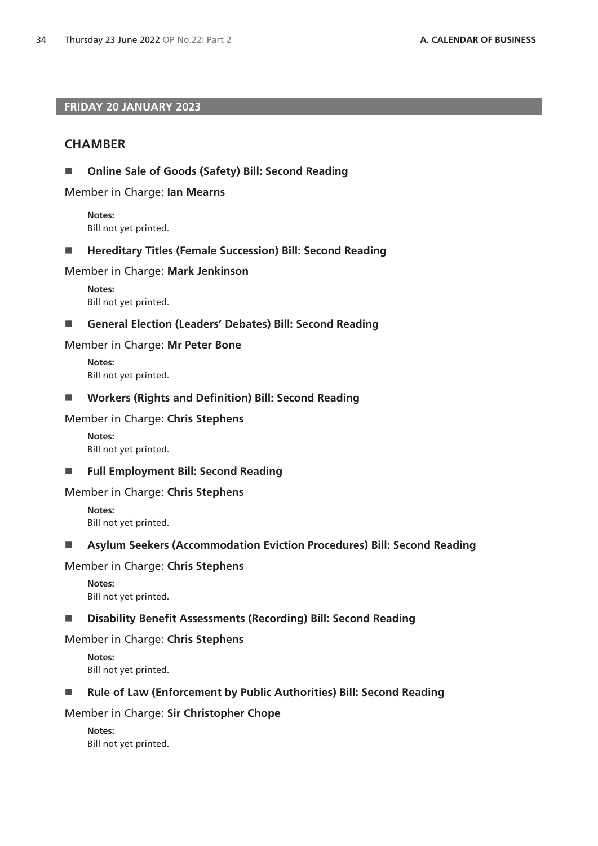# **FRIDAY 20 JANUARY 2023**

# **CHAMBER**

**Online Sale of Goods (Safety) Bill: Second Reading**

Member in Charge: **Ian Mearns**

**Notes:** Bill not yet printed.

■ Hereditary Titles (Female Succession) Bill: Second Reading

### Member in Charge: **Mark Jenkinson**

**Notes:** Bill not yet printed.

### **General Election (Leaders' Debates) Bill: Second Reading**

### Member in Charge: **Mr Peter Bone**

**Notes:** Bill not yet printed.

**Workers (Rights and Definition) Bill: Second Reading**

### Member in Charge: **Chris Stephens**

**Notes:** Bill not yet printed.

**Full Employment Bill: Second Reading**

### Member in Charge: **Chris Stephens**

**Notes:** Bill not yet printed.

# **Asylum Seekers (Accommodation Eviction Procedures) Bill: Second Reading**

# Member in Charge: **Chris Stephens**

**Notes:** Bill not yet printed.

### **Disability Benefit Assessments (Recording) Bill: Second Reading**

### Member in Charge: **Chris Stephens**

**Notes:** Bill not yet printed.

# ■ Rule of Law (Enforcement by Public Authorities) Bill: Second Reading

### Member in Charge: **Sir Christopher Chope**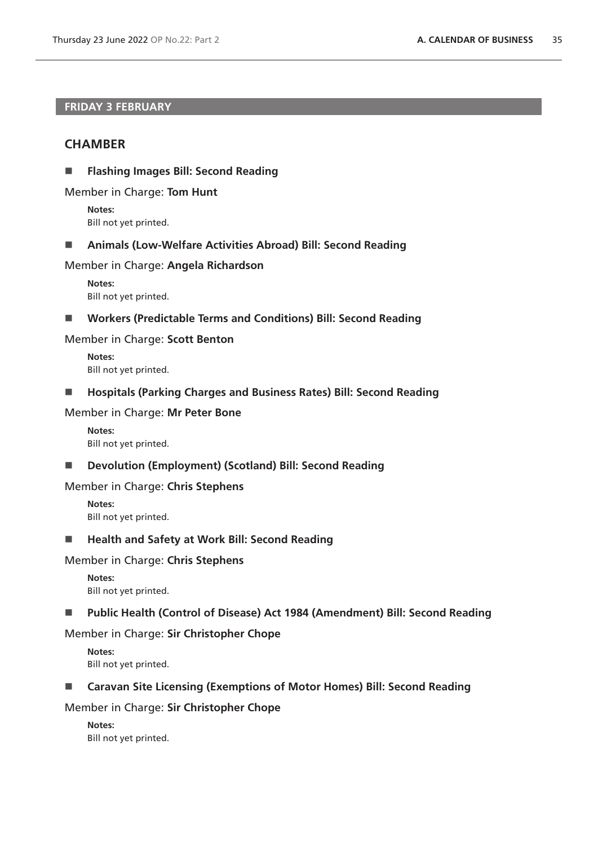# **FRIDAY 3 FEBRUARY**

# **CHAMBER**

**Flashing Images Bill: Second Reading**

Member in Charge: **Tom Hunt**

**Notes:** Bill not yet printed.

**Animals (Low-Welfare Activities Abroad) Bill: Second Reading**

### Member in Charge: **Angela Richardson**

**Notes:** Bill not yet printed.

**Workers (Predictable Terms and Conditions) Bill: Second Reading**

### Member in Charge: **Scott Benton**

**Notes:** Bill not yet printed.

**Hospitals (Parking Charges and Business Rates) Bill: Second Reading**

### Member in Charge: **Mr Peter Bone**

**Notes:** Bill not yet printed.

**Devolution (Employment) (Scotland) Bill: Second Reading**

### Member in Charge: **Chris Stephens**

**Notes:** Bill not yet printed.

■ Health and Safety at Work Bill: Second Reading

### Member in Charge: **Chris Stephens**

**Notes:** Bill not yet printed.

### **Public Health (Control of Disease) Act 1984 (Amendment) Bill: Second Reading**

# Member in Charge: **Sir Christopher Chope**

**Notes:** Bill not yet printed.

### ■ Caravan Site Licensing (Exemptions of Motor Homes) Bill: Second Reading

# Member in Charge: **Sir Christopher Chope**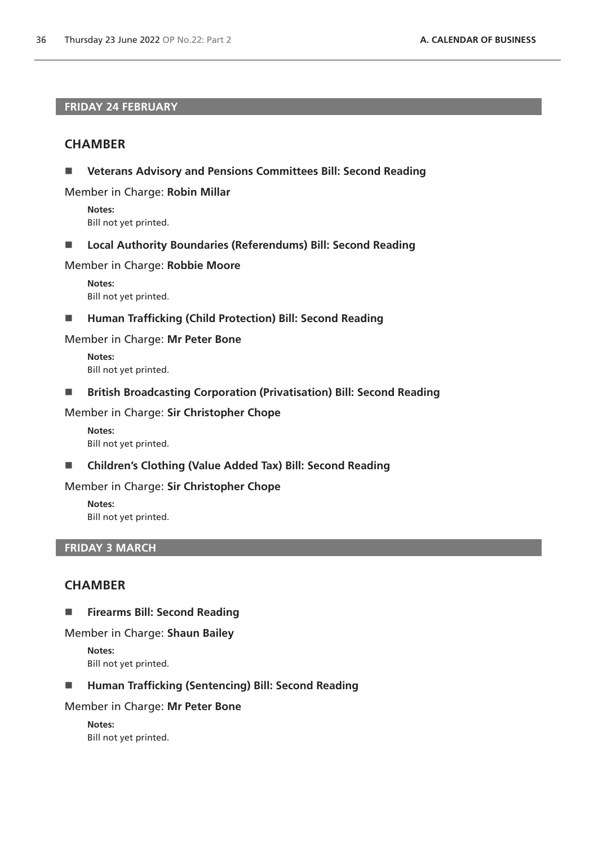# **FRIDAY 24 FEBRUARY**

# **CHAMBER**

**Veterans Advisory and Pensions Committees Bill: Second Reading**

Member in Charge: **Robin Millar**

**Notes:** Bill not yet printed.

**Local Authority Boundaries (Referendums) Bill: Second Reading**

Member in Charge: **Robbie Moore**

**Notes:** Bill not yet printed.

■ Human Trafficking (Child Protection) Bill: Second Reading

Member in Charge: **Mr Peter Bone**

**Notes:** Bill not yet printed.

**British Broadcasting Corporation (Privatisation) Bill: Second Reading**

Member in Charge: **Sir Christopher Chope**

**Notes:** Bill not yet printed.

**Children's Clothing (Value Added Tax) Bill: Second Reading**

Member in Charge: **Sir Christopher Chope**

**Notes:** Bill not yet printed.

# **FRIDAY 3 MARCH**

# **CHAMBER**

**Firearms Bill: Second Reading** 

### Member in Charge: **Shaun Bailey**

**Notes:** Bill not yet printed.

**Human Trafficking (Sentencing) Bill: Second Reading** 

Member in Charge: **Mr Peter Bone**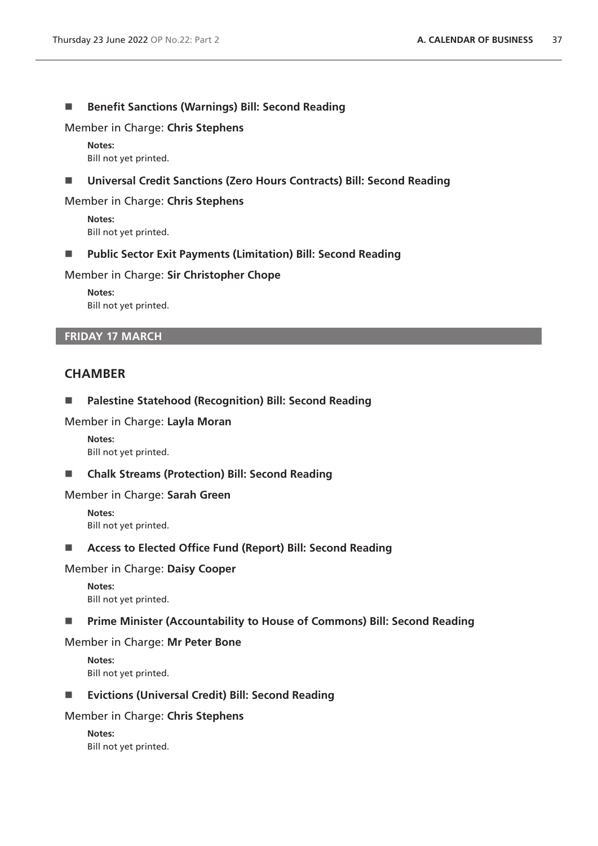# ■ Benefit Sanctions (Warnings) Bill: Second Reading

Member in Charge: **Chris Stephens**

**Notes:** Bill not yet printed.

# **Universal Credit Sanctions (Zero Hours Contracts) Bill: Second Reading**

### Member in Charge: **Chris Stephens**

**Notes:** Bill not yet printed.

**Public Sector Exit Payments (Limitation) Bill: Second Reading**

### Member in Charge: **Sir Christopher Chope**

**Notes:** Bill not yet printed.

# **FRIDAY 17 MARCH**

# **CHAMBER**

### **Palestine Statehood (Recognition) Bill: Second Reading**

### Member in Charge: **Layla Moran**

**Notes:** Bill not yet printed.

### **Chalk Streams (Protection) Bill: Second Reading**

### Member in Charge: **Sarah Green**

**Notes:** Bill not yet printed.

# **Access to Elected Office Fund (Report) Bill: Second Reading**

### Member in Charge: **Daisy Cooper**

**Notes:** Bill not yet printed.

### **Prime Minister (Accountability to House of Commons) Bill: Second Reading**

### Member in Charge: **Mr Peter Bone**

**Notes:** Bill not yet printed.

### **Evictions (Universal Credit) Bill: Second Reading**

### Member in Charge: **Chris Stephens**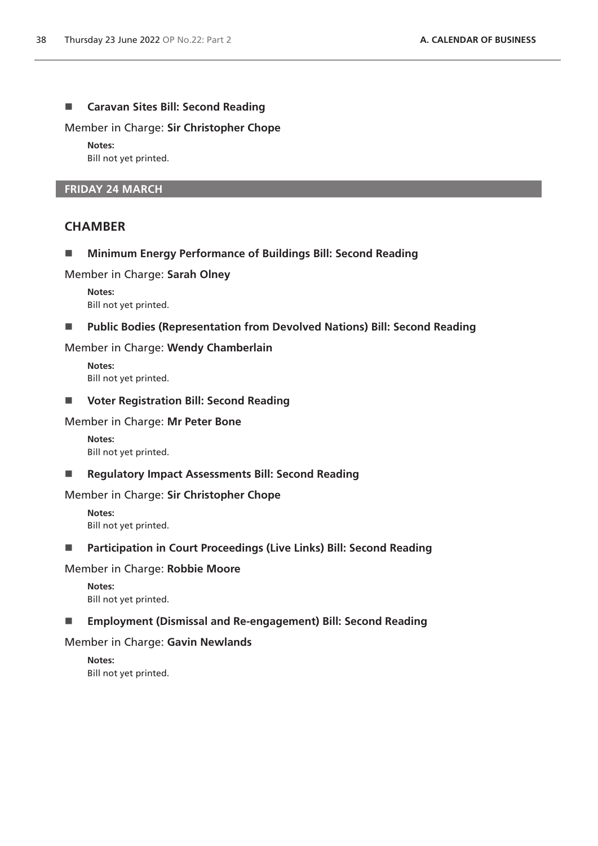# **Caravan Sites Bill: Second Reading**

Member in Charge: **Sir Christopher Chope**

**Notes:**

Bill not yet printed.

### **FRIDAY 24 MARCH**

# **CHAMBER**

**Minimum Energy Performance of Buildings Bill: Second Reading**

Member in Charge: **Sarah Olney**

**Notes:** Bill not yet printed.

### **Public Bodies (Representation from Devolved Nations) Bill: Second Reading**

Member in Charge: **Wendy Chamberlain**

**Notes:** Bill not yet printed.

**Voter Registration Bill: Second Reading**

### Member in Charge: **Mr Peter Bone**

**Notes:** Bill not yet printed.

**Regulatory Impact Assessments Bill: Second Reading**

# Member in Charge: **Sir Christopher Chope**

**Notes:** Bill not yet printed.

**Participation in Court Proceedings (Live Links) Bill: Second Reading**

# Member in Charge: **Robbie Moore**

**Notes:** Bill not yet printed.

# **Employment (Dismissal and Re-engagement) Bill: Second Reading**

# Member in Charge: **Gavin Newlands**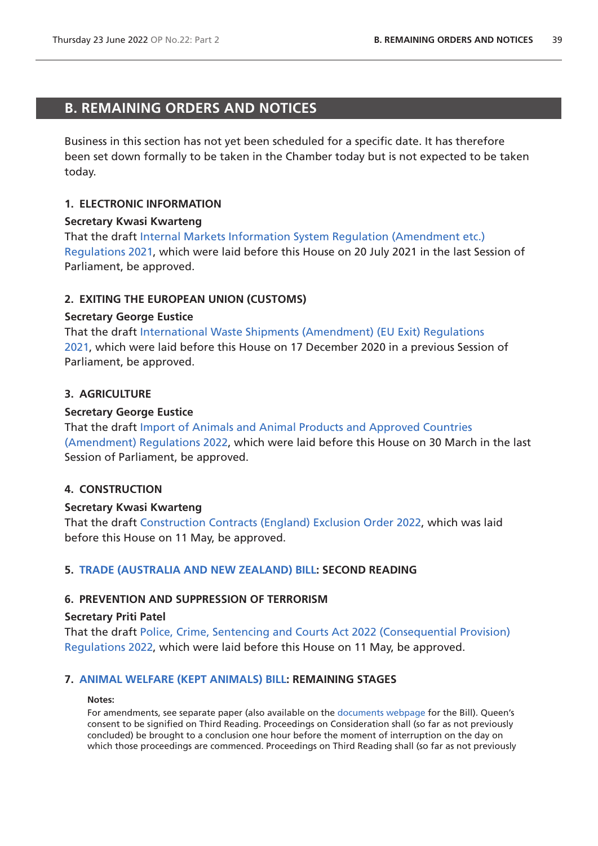# <span id="page-38-0"></span>**B. REMAINING ORDERS AND NOTICES**

Business in this section has not yet been scheduled for a specific date. It has therefore been set down formally to be taken in the Chamber today but is not expected to be taken today.

# **1. ELECTRONIC INFORMATION**

# **Secretary Kwasi Kwarteng**

That the draft [Internal Markets Information System Regulation \(Amendment etc.\)](https://www.legislation.gov.uk/ukdsi/2021/9780348226126/pdfs/ukdsi_9780348226126_en.pdf)  [Regulations 2021](https://www.legislation.gov.uk/ukdsi/2021/9780348226126/pdfs/ukdsi_9780348226126_en.pdf), which were laid before this House on 20 July 2021 in the last Session of Parliament, be approved.

# **2. EXITING THE EUROPEAN UNION (CUSTOMS)**

### **Secretary George Eustice**

That the draft [International Waste Shipments \(Amendment\) \(EU Exit\) Regulations](https://www.legislation.gov.uk/ukdsi/2021/9780348217650/pdfs/ukdsi_9780348217650_en.pdf)  [2021,](https://www.legislation.gov.uk/ukdsi/2021/9780348217650/pdfs/ukdsi_9780348217650_en.pdf) which were laid before this House on 17 December 2020 in a previous Session of Parliament, be approved.

# **3. AGRICULTURE**

# **Secretary George Eustice**

That the draft [Import of Animals and Animal Products and Approved Countries](https://www.legislation.gov.uk/ukdsi/2022/9780348234282/pdfs/ukdsi_9780348234282_en.pdf)  [\(Amendment\) Regulations 2022,](https://www.legislation.gov.uk/ukdsi/2022/9780348234282/pdfs/ukdsi_9780348234282_en.pdf) which were laid before this House on 30 March in the last Session of Parliament, be approved.

# **4. CONSTRUCTION**

# **Secretary Kwasi Kwarteng**

That the draft [Construction Contracts \(England\) Exclusion Order 2022](https://www.legislation.gov.uk/ukdsi/2022/9780348235043/pdfs/ukdsi_9780348235043_en.pdf), which was laid before this House on 11 May, be approved.

# **5. [TRADE \(AUSTRALIA AND NEW ZEALAND\) BILL:](https://publications.parliament.uk/pa/bills/cbill/58-03/0009/220009.pdf) SECOND READING**

# **6. PREVENTION AND SUPPRESSION OF TERRORISM**

### **Secretary Priti Patel**

That the draft [Police, Crime, Sentencing and Courts Act 2022 \(Consequential Provision\)](https://www.legislation.gov.uk/ukdsi/2022/9780348235012/pdfs/ukdsi_9780348235012_en.pdf)  [Regulations 2022](https://www.legislation.gov.uk/ukdsi/2022/9780348235012/pdfs/ukdsi_9780348235012_en.pdf), which were laid before this House on 11 May, be approved.

# **7. [ANIMAL WELFARE \(KEPT ANIMALS\) BILL](https://publications.parliament.uk/pa/bills/cbill/58-03/0002/220002.pdf): REMAINING STAGES**

#### **Notes:**

For amendments, see separate paper (also available on the [documents webpage](https://bills.parliament.uk/bills/2880/publications) for the Bill). Queen's consent to be signified on Third Reading. Proceedings on Consideration shall (so far as not previously concluded) be brought to a conclusion one hour before the moment of interruption on the day on which those proceedings are commenced. Proceedings on Third Reading shall (so far as not previously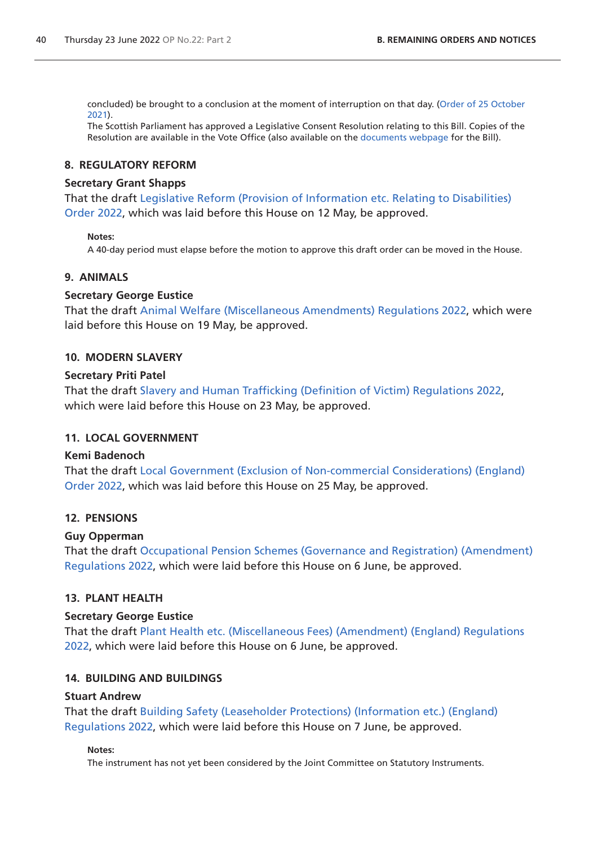concluded) be brought to a conclusion at the moment of interruption on that day. ([Order of 25 October](https://commonsbusiness.parliament.uk/document/50975/pdf)  [2021](https://commonsbusiness.parliament.uk/document/50975/pdf)).

The Scottish Parliament has approved a Legislative Consent Resolution relating to this Bill. Copies of the Resolution are available in the Vote Office (also available on the [documents webpage](https://bills.parliament.uk/bills/2880/publications) for the Bill).

# **8. REGULATORY REFORM**

### **Secretary Grant Shapps**

That the draft [Legislative Reform \(Provision of Information etc. Relating to Disabilities\)](https://www.legislation.gov.uk/ukdsi/2022/9780348235203/pdfs/ukdsi_9780348235203_en.pdf)  [Order 2022,](https://www.legislation.gov.uk/ukdsi/2022/9780348235203/pdfs/ukdsi_9780348235203_en.pdf) which was laid before this House on 12 May, be approved.

### **Notes:**

A 40-day period must elapse before the motion to approve this draft order can be moved in the House.

# **9. ANIMALS**

### **Secretary George Eustice**

That the draft [Animal Welfare \(Miscellaneous Amendments\) Regulations 2022](https://www.legislation.gov.uk/ukdsi/2022/9780348235340/pdfs/ukdsi_9780348235340_en.pdf), which were laid before this House on 19 May, be approved.

### **10. MODERN SLAVERY**

### **Secretary Priti Patel**

That the draft [Slavery and Human Trafficking \(Definition of Victim\) Regulations 2022](https://www.legislation.gov.uk/ukdsi/2022/9780348235463/pdfs/ukdsi_9780348235463_en.pdf), which were laid before this House on 23 May, be approved.

# **11. LOCAL GOVERNMENT**

# **Kemi Badenoch**

That the draft [Local Government \(Exclusion of Non-commercial Considerations\) \(England\)](https://www.legislation.gov.uk/ukdsi/2022/9780348235500/pdfs/ukdsi_9780348235500_en.pdf)  [Order 2022,](https://www.legislation.gov.uk/ukdsi/2022/9780348235500/pdfs/ukdsi_9780348235500_en.pdf) which was laid before this House on 25 May, be approved.

# **12. PENSIONS**

# **Guy Opperman**

That the draft [Occupational Pension Schemes \(Governance and Registration\) \(Amendment\)](https://www.legislation.gov.uk/ukdsi/2022/9780348235777/pdfs/ukdsi_9780348235777_en.pdf)  [Regulations 2022](https://www.legislation.gov.uk/ukdsi/2022/9780348235777/pdfs/ukdsi_9780348235777_en.pdf), which were laid before this House on 6 June, be approved.

# **13. PLANT HEALTH**

### **Secretary George Eustice**

That the draft [Plant Health etc. \(Miscellaneous Fees\) \(Amendment\) \(England\) Regulations](https://www.legislation.gov.uk/ukdsi/2022/9780348235821/pdfs/ukdsi_9780348235821_en.pdf)  [2022,](https://www.legislation.gov.uk/ukdsi/2022/9780348235821/pdfs/ukdsi_9780348235821_en.pdf) which were laid before this House on 6 June, be approved.

# **14. BUILDING AND BUILDINGS**

### **Stuart Andrew**

That the draft [Building Safety \(Leaseholder Protections\) \(Information etc.\) \(England\)](https://www.legislation.gov.uk/ukdsi/2022/9780348235791/pdfs/ukdsi_9780348235791_en.pdf)  [Regulations 2022](https://www.legislation.gov.uk/ukdsi/2022/9780348235791/pdfs/ukdsi_9780348235791_en.pdf), which were laid before this House on 7 June, be approved.

### **Notes:**

The instrument has not yet been considered by the Joint Committee on Statutory Instruments.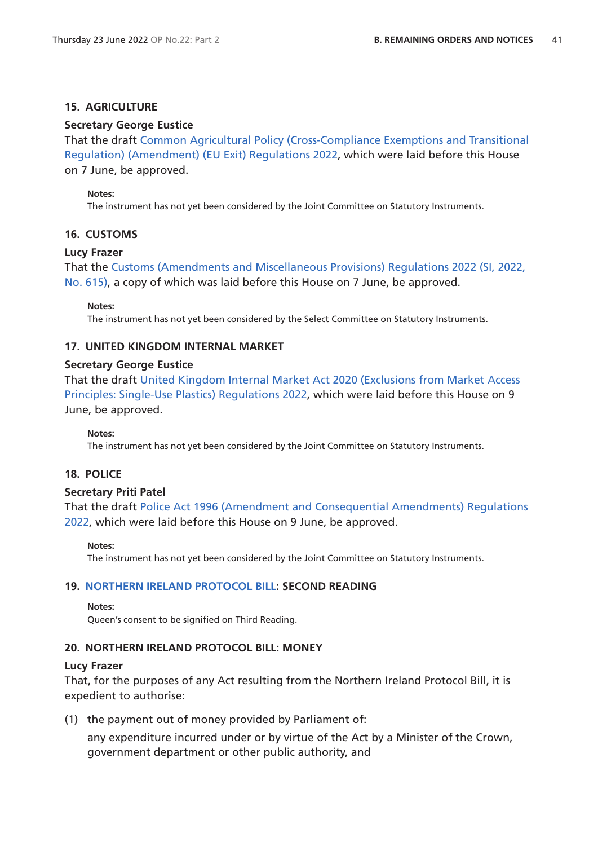# **15. AGRICULTURE**

# **Secretary George Eustice**

That the draft [Common Agricultural Policy \(Cross-Compliance Exemptions and Transitional](https://www.legislation.gov.uk/ukdsi/2022/9780348235951/pdfs/ukdsi_9780348235951_en.pdf)  [Regulation\) \(Amendment\) \(EU Exit\) Regulations 2022](https://www.legislation.gov.uk/ukdsi/2022/9780348235951/pdfs/ukdsi_9780348235951_en.pdf), which were laid before this House on 7 June, be approved.

### **Notes:**

The instrument has not yet been considered by the Joint Committee on Statutory Instruments.

# **16. CUSTOMS**

# **Lucy Frazer**

That the [Customs \(Amendments and Miscellaneous Provisions\) Regulations 2022 \(SI, 2022,](https://www.legislation.gov.uk/uksi/2022/615/pdfs/uksi_20220615_en.pdf)  [No. 615\)](https://www.legislation.gov.uk/uksi/2022/615/pdfs/uksi_20220615_en.pdf), a copy of which was laid before this House on 7 June, be approved.

**Notes:**

The instrument has not yet been considered by the Select Committee on Statutory Instruments.

# **17. UNITED KINGDOM INTERNAL MARKET**

# **Secretary George Eustice**

That the draft [United Kingdom Internal Market Act 2020 \(Exclusions from Market Access](https://www.legislation.gov.uk/ukdsi/2022/9780348236101/pdfs/ukdsi_9780348236101_en.pdf)  [Principles: Single-Use Plastics\) Regulations 2022,](https://www.legislation.gov.uk/ukdsi/2022/9780348236101/pdfs/ukdsi_9780348236101_en.pdf) which were laid before this House on 9 June, be approved.

# **Notes:**

The instrument has not yet been considered by the Joint Committee on Statutory Instruments.

# **18. POLICE**

# **Secretary Priti Patel**

That the draft [Police Act 1996 \(Amendment and Consequential Amendments\) Regulations](https://www.legislation.gov.uk/ukdsi/2022/9780348236026/pdfs/ukdsi_9780348236026_en.pdf)  [2022,](https://www.legislation.gov.uk/ukdsi/2022/9780348236026/pdfs/ukdsi_9780348236026_en.pdf) which were laid before this House on 9 June, be approved.

# **Notes:**

The instrument has not yet been considered by the Joint Committee on Statutory Instruments.

# **19. [NORTHERN IRELAND PROTOCOL BILL](https://publications.parliament.uk/pa/bills/cbill/58-03/0012/220012.pdf): SECOND READING**

### **Notes:**

Queen's consent to be signified on Third Reading.

# **20. NORTHERN IRELAND PROTOCOL BILL: MONEY**

# **Lucy Frazer**

That, for the purposes of any Act resulting from the Northern Ireland Protocol Bill, it is expedient to authorise:

(1) the payment out of money provided by Parliament of:

any expenditure incurred under or by virtue of the Act by a Minister of the Crown, government department or other public authority, and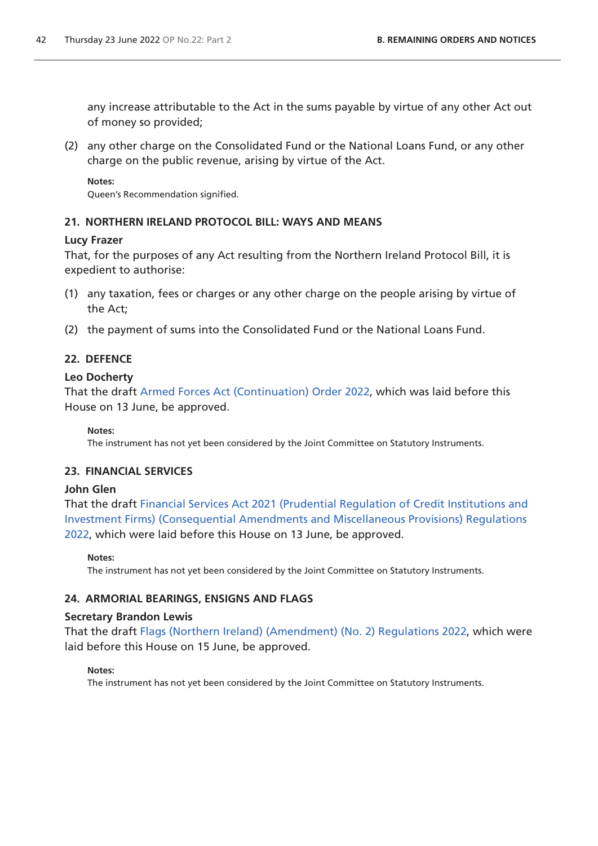any increase attributable to the Act in the sums payable by virtue of any other Act out of money so provided;

(2) any other charge on the Consolidated Fund or the National Loans Fund, or any other charge on the public revenue, arising by virtue of the Act.

**Notes:** Queen's Recommendation signified.

# **21. NORTHERN IRELAND PROTOCOL BILL: WAYS AND MEANS**

# **Lucy Frazer**

That, for the purposes of any Act resulting from the Northern Ireland Protocol Bill, it is expedient to authorise:

- (1) any taxation, fees or charges or any other charge on the people arising by virtue of the Act;
- (2) the payment of sums into the Consolidated Fund or the National Loans Fund.

# **22. DEFENCE**

# **Leo Docherty**

That the draft [Armed Forces Act \(Continuation\) Order 2022](https://www.legislation.gov.uk/ukdsi/2022/9780348235975/pdfs/ukdsi_9780348235975_en.pdf), which was laid before this House on 13 June, be approved.

# **Notes:**

The instrument has not yet been considered by the Joint Committee on Statutory Instruments.

# **23. FINANCIAL SERVICES**

# **John Glen**

That the draft [Financial Services Act 2021 \(Prudential Regulation of Credit Institutions and](https://www.legislation.gov.uk/ukdsi/2022/9780348236217/pdfs/ukdsi_9780348236217_en.pdf)  [Investment Firms\) \(Consequential Amendments and Miscellaneous Provisions\) Regulations](https://www.legislation.gov.uk/ukdsi/2022/9780348236217/pdfs/ukdsi_9780348236217_en.pdf)  [2022,](https://www.legislation.gov.uk/ukdsi/2022/9780348236217/pdfs/ukdsi_9780348236217_en.pdf) which were laid before this House on 13 June, be approved.

**Notes:**

The instrument has not yet been considered by the Joint Committee on Statutory Instruments.

# **24. ARMORIAL BEARINGS, ENSIGNS AND FLAGS**

# **Secretary Brandon Lewis**

That the draft [Flags \(Northern Ireland\) \(Amendment\) \(No. 2\) Regulations 2022,](https://www.legislation.gov.uk/ukdsi/2022/9780348236248/pdfs/ukdsi_9780348236248_en.pdf) which were laid before this House on 15 June, be approved.

# **Notes:**

The instrument has not yet been considered by the Joint Committee on Statutory Instruments.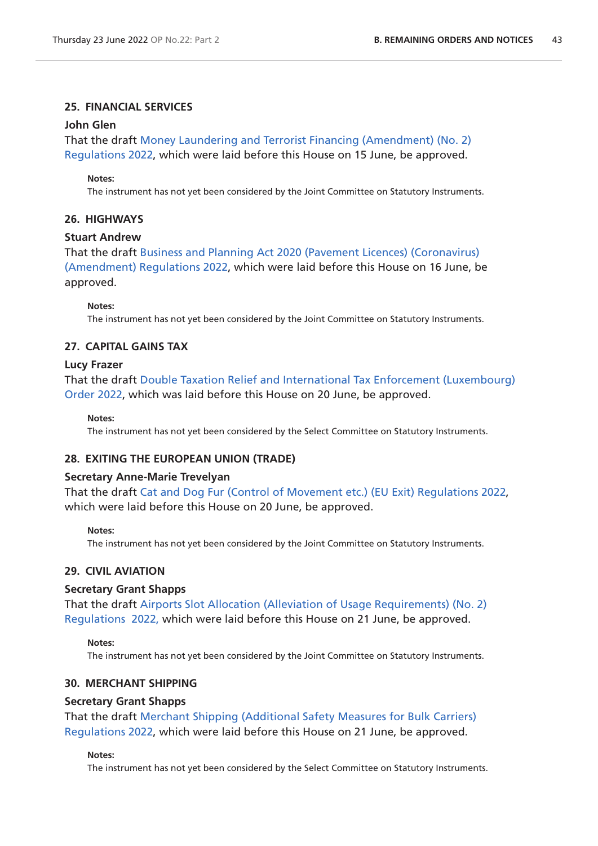# **25. FINANCIAL SERVICES**

### **John Glen**

That the draft [Money Laundering and Terrorist Financing \(Amendment\) \(No. 2\)](https://www.legislation.gov.uk/ukdsi/2022/9780348236347/pdfs/ukdsi_9780348236347_en.pdf)  [Regulations 2022](https://www.legislation.gov.uk/ukdsi/2022/9780348236347/pdfs/ukdsi_9780348236347_en.pdf), which were laid before this House on 15 June, be approved.

### **Notes:**

The instrument has not yet been considered by the Joint Committee on Statutory Instruments.

# **26. HIGHWAYS**

# **Stuart Andrew**

That the draft [Business and Planning Act 2020 \(Pavement Licences\) \(Coronavirus\)](https://www.legislation.gov.uk/ukdsi/2022/9780348236378/pdfs/ukdsi_9780348236378_en.pdf)  [\(Amendment\) Regulations 2022,](https://www.legislation.gov.uk/ukdsi/2022/9780348236378/pdfs/ukdsi_9780348236378_en.pdf) which were laid before this House on 16 June, be approved.

### **Notes:**

The instrument has not yet been considered by the Joint Committee on Statutory Instruments.

# **27. CAPITAL GAINS TAX**

### **Lucy Frazer**

That the draft [Double Taxation Relief and International Tax Enforcement \(Luxembourg\)](https://www.legislation.gov.uk/ukdsi/2022/9780348236484/pdfs/ukdsi_9780348236484_en.pdf)  [Order 2022,](https://www.legislation.gov.uk/ukdsi/2022/9780348236484/pdfs/ukdsi_9780348236484_en.pdf) which was laid before this House on 20 June, be approved.

**Notes:**

The instrument has not yet been considered by the Select Committee on Statutory Instruments.

# **28. EXITING THE EUROPEAN UNION (TRADE)**

# **Secretary Anne-Marie Trevelyan**

That the draft [Cat and Dog Fur \(Control of Movement etc.\) \(EU Exit\) Regulations 2022,](https://www.legislation.gov.uk/ukdsi/2022/9780348236491/pdfs/ukdsi_9780348236491_en.pdf) which were laid before this House on 20 June, be approved.

### **Notes:**

The instrument has not yet been considered by the Joint Committee on Statutory Instruments.

# **29. CIVIL AVIATION**

# **Secretary Grant Shapps**

That the draft [Airports Slot Allocation \(Alleviation of Usage Requirements\) \(No. 2\)](https://www.legislation.gov.uk/ukdsi/2022/9780348236590/pdfs/ukdsi_9780348236590_en.pdf)  [Regulations 2022, w](https://www.legislation.gov.uk/ukdsi/2022/9780348236590/pdfs/ukdsi_9780348236590_en.pdf)hich were laid before this House on 21 June, be approved.

### **Notes:**

The instrument has not yet been considered by the Joint Committee on Statutory Instruments.

# **30. MERCHANT SHIPPING**

# **Secretary Grant Shapps**

That the draft [Merchant Shipping \(Additional Safety Measures for Bulk Carriers\)](https://www.legislation.gov.uk/ukdsi/2022/9780348236569/pdfs/ukdsi_9780348236569_en.pdf)  [Regulations 2022](https://www.legislation.gov.uk/ukdsi/2022/9780348236569/pdfs/ukdsi_9780348236569_en.pdf), which were laid before this House on 21 June, be approved.

### **Notes:**

The instrument has not yet been considered by the Select Committee on Statutory Instruments.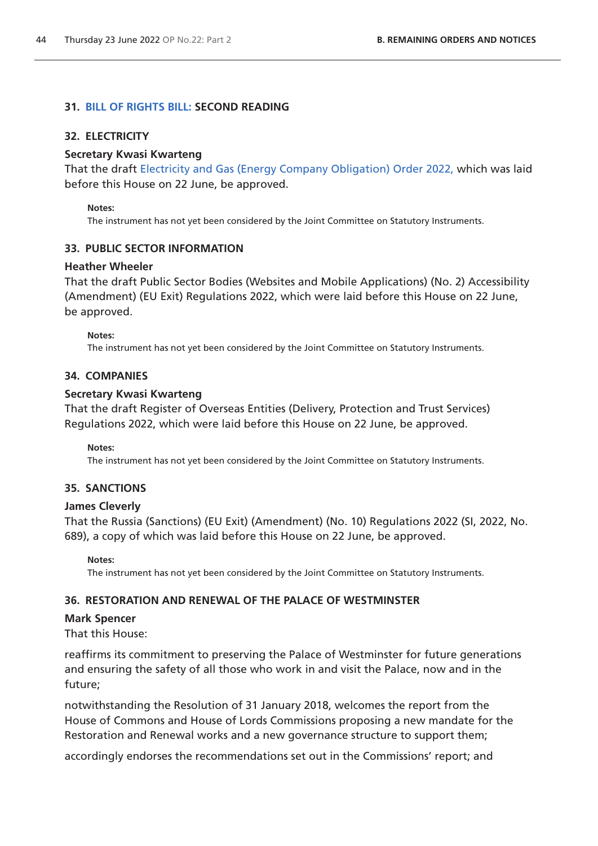# **31. [BILL OF RIGHTS BILL: S](https://publications.parliament.uk/pa/bills/cbill/58-03/0117/220117.pdf)ECOND READING**

# **32. ELECTRICITY**

### **Secretary Kwasi Kwarteng**

That the draft [Electricity and Gas \(Energy Company Obligation\) Order 2022,](https://www.legislation.gov.uk/ukdsi/2022/9780348236606/pdfs/ukdsi_9780348236606_en.pdf) which was laid before this House on 22 June, be approved.

#### **Notes:**

The instrument has not yet been considered by the Joint Committee on Statutory Instruments.

### **33. PUBLIC SECTOR INFORMATION**

### **Heather Wheeler**

That the draft Public Sector Bodies (Websites and Mobile Applications) (No. 2) Accessibility (Amendment) (EU Exit) Regulations 2022, which were laid before this House on 22 June, be approved.

**Notes:** 

The instrument has not yet been considered by the Joint Committee on Statutory Instruments.

### **34. COMPANIES**

### **Secretary Kwasi Kwarteng**

That the draft Register of Overseas Entities (Delivery, Protection and Trust Services) Regulations 2022, which were laid before this House on 22 June, be approved.

**Notes:** 

The instrument has not yet been considered by the Joint Committee on Statutory Instruments.

# **35. SANCTIONS**

### **James Cleverly**

That the Russia (Sanctions) (EU Exit) (Amendment) (No. 10) Regulations 2022 (SI, 2022, No. 689), a copy of which was laid before this House on 22 June, be approved.

**Notes:** 

The instrument has not yet been considered by the Joint Committee on Statutory Instruments.

### **36. RESTORATION AND RENEWAL OF THE PALACE OF WESTMINSTER**

### **Mark Spencer**

That this House:

reaffirms its commitment to preserving the Palace of Westminster for future generations and ensuring the safety of all those who work in and visit the Palace, now and in the future;

notwithstanding the Resolution of 31 January 2018, welcomes the report from the House of Commons and House of Lords Commissions proposing a new mandate for the Restoration and Renewal works and a new governance structure to support them;

accordingly endorses the recommendations set out in the Commissions' report; and